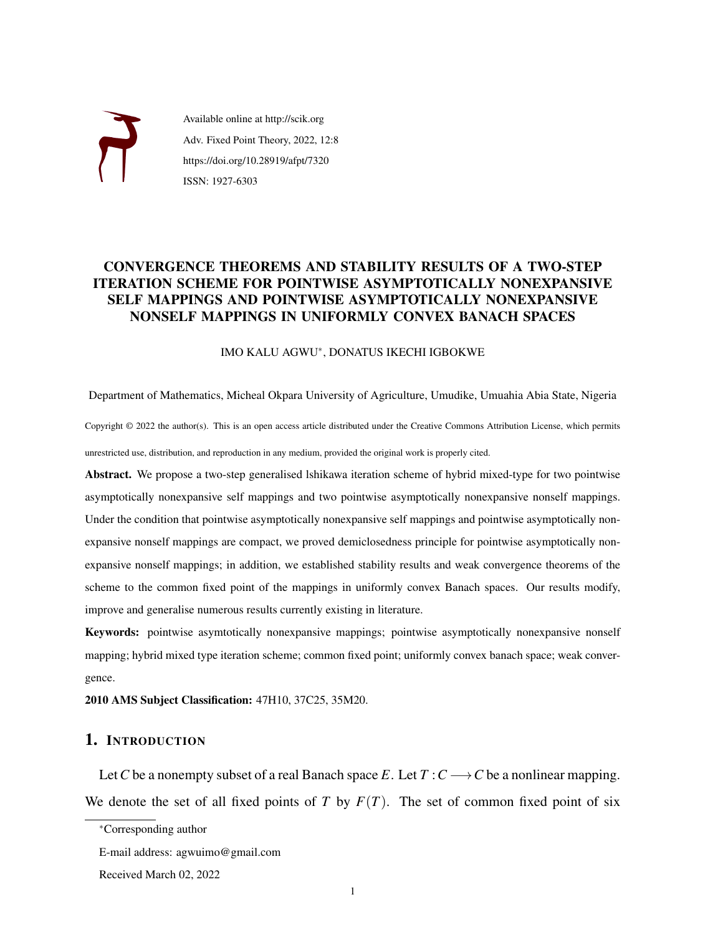

Available online at http://scik.org Adv. Fixed Point Theory, 2022, 12:8 https://doi.org/10.28919/afpt/7320 ISSN: 1927-6303

# CONVERGENCE THEOREMS AND STABILITY RESULTS OF A TWO-STEP ITERATION SCHEME FOR POINTWISE ASYMPTOTICALLY NONEXPANSIVE SELF MAPPINGS AND POINTWISE ASYMPTOTICALLY NONEXPANSIVE NONSELF MAPPINGS IN UNIFORMLY CONVEX BANACH SPACES

### IMO KALU AGWU<sup>∗</sup> , DONATUS IKECHI IGBOKWE

Department of Mathematics, Micheal Okpara University of Agriculture, Umudike, Umuahia Abia State, Nigeria Copyright © 2022 the author(s). This is an open access article distributed under the Creative Commons Attribution License, which permits unrestricted use, distribution, and reproduction in any medium, provided the original work is properly cited.

Abstract. We propose a two-step generalised lshikawa iteration scheme of hybrid mixed-type for two pointwise asymptotically nonexpansive self mappings and two pointwise asymptotically nonexpansive nonself mappings. Under the condition that pointwise asymptotically nonexpansive self mappings and pointwise asymptotically nonexpansive nonself mappings are compact, we proved demiclosedness principle for pointwise asymptotically nonexpansive nonself mappings; in addition, we established stability results and weak convergence theorems of the scheme to the common fixed point of the mappings in uniformly convex Banach spaces. Our results modify, improve and generalise numerous results currently existing in literature.

Keywords: pointwise asymtotically nonexpansive mappings; pointwise asymptotically nonexpansive nonself mapping; hybrid mixed type iteration scheme; common fixed point; uniformly convex banach space; weak convergence.

2010 AMS Subject Classification: 47H10, 37C25, 35M20.

# 1. INTRODUCTION

Let *C* be a nonempty subset of a real Banach space *E*. Let  $T : C \longrightarrow C$  be a nonlinear mapping. We denote the set of all fixed points of *T* by  $F(T)$ . The set of common fixed point of six

<sup>∗</sup>Corresponding author

E-mail address: agwuimo@gmail.com

Received March 02, 2022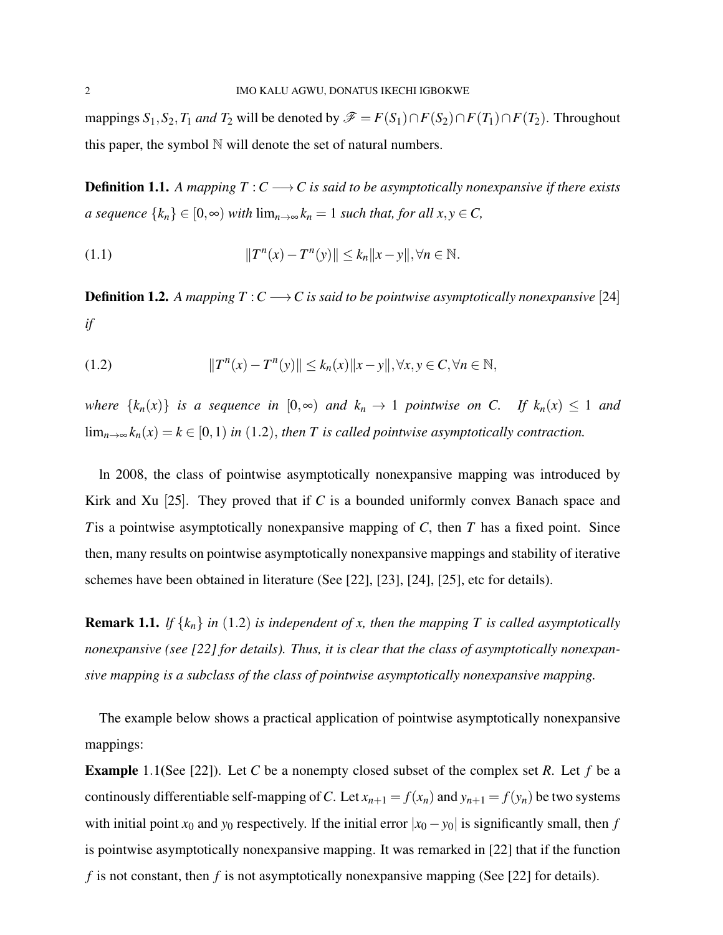mappings  $S_1$ ,  $S_2$ ,  $T_1$  *and*  $T_2$  will be denoted by  $\mathcal{F} = F(S_1) \cap F(S_2) \cap F(T_1) \cap F(T_2)$ . Throughout this paper, the symbol  $\mathbb N$  will denote the set of natural numbers.

**Definition 1.1.** A mapping  $T : C \longrightarrow C$  is said to be asymptotically nonexpansive if there exists *a sequence*  $\{k_n\}$  ∈  $[0, ∞)$  *with*  $\lim_{n\to ∞} k_n = 1$  *such that, for all x,y* ∈ *C*,

(1.1) 
$$
||T^{n}(x) - T^{n}(y)|| \leq k_{n} ||x - y||, \forall n \in \mathbb{N}.
$$

**Definition 1.2.** *A mapping*  $T: C \longrightarrow C$  *is said to be pointwise asymptotically nonexpansive* [24] *if*

(1.2) 
$$
||T^{n}(x) - T^{n}(y)|| \leq k_{n}(x)||x - y||, \forall x, y \in C, \forall n \in \mathbb{N},
$$

*where*  $\{k_n(x)\}\$ is a sequence in  $[0, \infty)$  and  $k_n \to 1$  pointwise on C. If  $k_n(x) \leq 1$  and lim<sub>*n*→∞</sub> $k_n(x) = k \in [0,1)$  *in* (1.2), *then T is called pointwise asymptotically contraction.* 

ln 2008, the class of pointwise asymptotically nonexpansive mapping was introduced by Kirk and Xu [25]. They proved that if *C* is a bounded uniformly convex Banach space and *T*is a pointwise asymptotically nonexpansive mapping of *C*, then *T* has a fixed point. Since then, many results on pointwise asymptotically nonexpansive mappings and stability of iterative schemes have been obtained in literature (See [22], [23], [24], [25], etc for details).

**Remark 1.1.** *lf*  $\{k_n\}$  *in* (1.2) *is independent of x, then the mapping T is called asymptotically nonexpansive (see [22] for details). Thus, it is clear that the class of asymptotically nonexpansive mapping is a subclass of the class of pointwise asymptotically nonexpansive mapping.*

The example below shows a practical application of pointwise asymptotically nonexpansive mappings:

Example 1.1(See [22]). Let *C* be a nonempty closed subset of the complex set *R*. Let *f* be a continously differentiable self-mapping of C. Let  $x_{n+1} = f(x_n)$  and  $y_{n+1} = f(y_n)$  be two systems with initial point  $x_0$  and  $y_0$  respectively. If the initial error  $|x_0 - y_0|$  is significantly small, then *f* is pointwise asymptotically nonexpansive mapping. It was remarked in [22] that if the function *f* is not constant, then *f* is not asymptotically nonexpansive mapping (See [22] for details).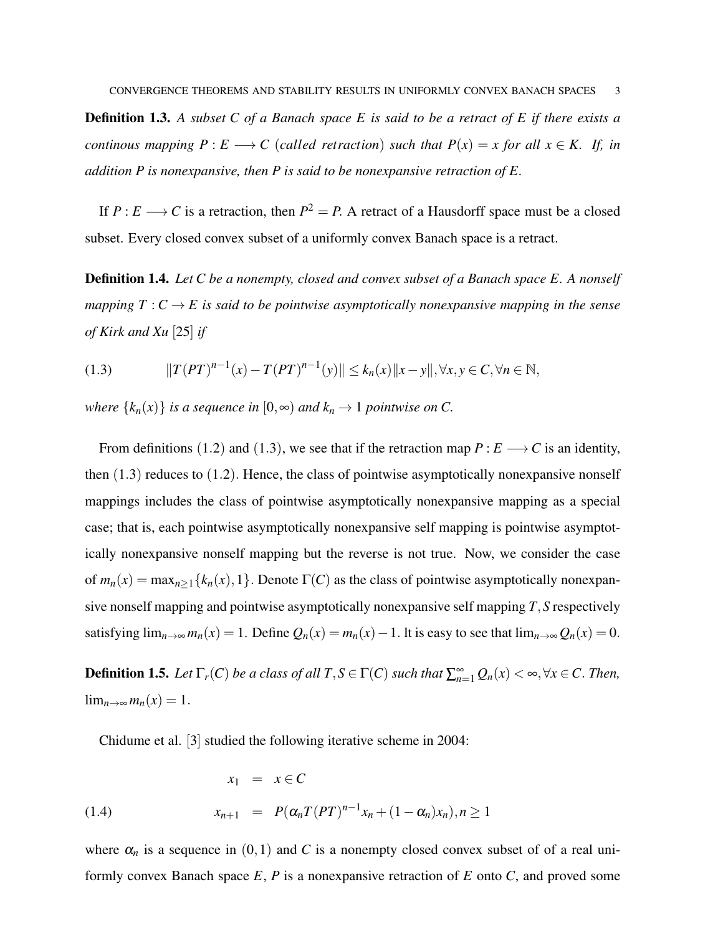Definition 1.3. *A subset C of a Banach space E is said to be a retract of E if there exists a continous mapping*  $P: E \longrightarrow C$  (*called retraction*) *such that*  $P(x) = x$  *for all*  $x \in K$ . If, *in addition P is nonexpansive, then P is said to be nonexpansive retraction of E.*

If  $P: E \longrightarrow C$  is a retraction, then  $P^2 = P$ . A retract of a Hausdorff space must be a closed subset. Every closed convex subset of a uniformly convex Banach space is a retract.

Definition 1.4. *Let C be a nonempty, closed and convex subset of a Banach space E. A nonself mapping*  $T: C \rightarrow E$  *is said to be pointwise asymptotically nonexpansive mapping in the sense of Kirk and Xu* [25] *if*

$$
(1.3) \t\t ||T(PT)^{n-1}(x) - T(PT)^{n-1}(y)|| \le k_n(x) ||x - y||, \forall x, y \in C, \forall n \in \mathbb{N},
$$

*where*  $\{k_n(x)\}\$ *is a sequence in*  $[0, \infty)$  *and*  $k_n \to 1$  *pointwise on C.* 

From definitions (1.2) and (1.3), we see that if the retraction map  $P: E \longrightarrow C$  is an identity, then  $(1.3)$  reduces to  $(1.2)$ . Hence, the class of pointwise asymptotically nonexpansive nonself mappings includes the class of pointwise asymptotically nonexpansive mapping as a special case; that is, each pointwise asymptotically nonexpansive self mapping is pointwise asymptotically nonexpansive nonself mapping but the reverse is not true. Now, we consider the case of  $m_n(x) = \max_{n \ge 1} \{k_n(x), 1\}$ . Denote  $\Gamma(C)$  as the class of pointwise asymptotically nonexpansive nonself mapping and pointwise asymptotically nonexpansive self mapping *T*,*S* respectively satisfying  $\lim_{n\to\infty} m_n(x) = 1$ . Define  $Q_n(x) = m_n(x) - 1$ . It is easy to see that  $\lim_{n\to\infty} Q_n(x) = 0$ .

**Definition 1.5.** Let  $\Gamma_r(C)$  be a class of all  $T, S \in \Gamma(C)$  such that  $\sum_{n=1}^{\infty} Q_n(x) < \infty, \forall x \in C$ . Then,  $\lim_{n\to\infty}m_n(x)=1.$ 

Chidume et al. [3] studied the following iterative scheme in 2004:

(1.4) 
$$
x_1 = x \in C
$$

$$
x_{n+1} = P(\alpha_n T (PT)^{n-1} x_n + (1 - \alpha_n) x_n), n \ge 1
$$

where  $\alpha_n$  is a sequence in  $(0,1)$  and C is a nonempty closed convex subset of of a real uniformly convex Banach space *E*, *P* is a nonexpansive retraction of *E* onto *C*, and proved some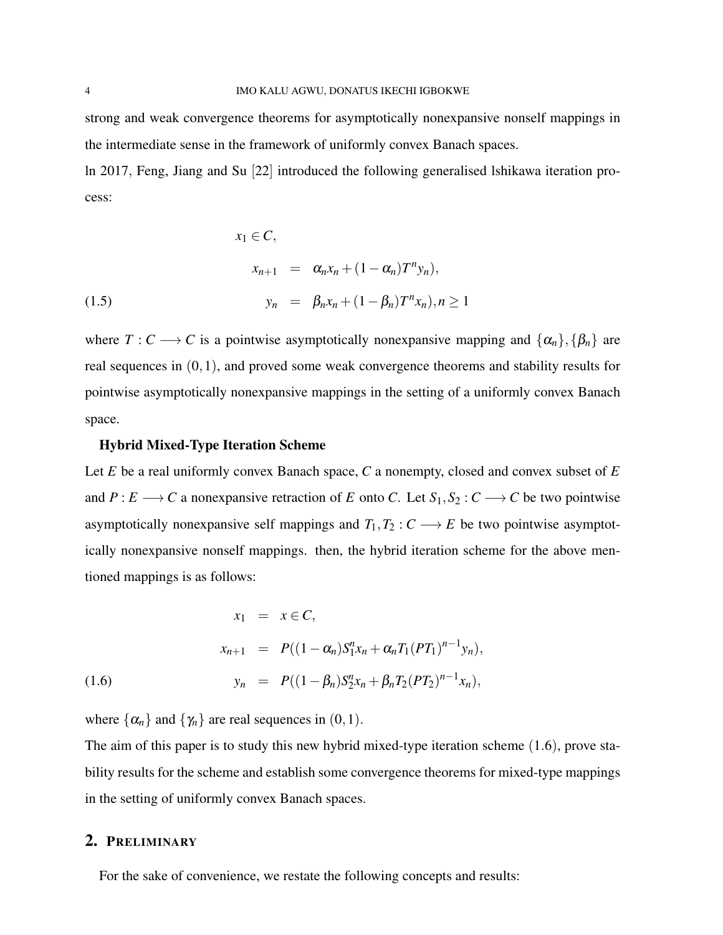strong and weak convergence theorems for asymptotically nonexpansive nonself mappings in the intermediate sense in the framework of uniformly convex Banach spaces.

ln 2017, Feng, Jiang and Su [22] introduced the following generalised lshikawa iteration process:

(1.5)  
\n
$$
x_1 \in C,
$$
\n
$$
x_{n+1} = \alpha_n x_n + (1 - \alpha_n) T^n y_n,
$$
\n
$$
y_n = \beta_n x_n + (1 - \beta_n) T^n x_n, n \ge 1
$$

where  $T: C \longrightarrow C$  is a pointwise asymptotically nonexpansive mapping and  $\{\alpha_n\}, \{\beta_n\}$  are real sequences in (0,1), and proved some weak convergence theorems and stability results for pointwise asymptotically nonexpansive mappings in the setting of a uniformly convex Banach space.

#### Hybrid Mixed-Type Iteration Scheme

Let *E* be a real uniformly convex Banach space, *C* a nonempty, closed and convex subset of *E* and  $P: E \longrightarrow C$  a nonexpansive retraction of *E* onto *C*. Let  $S_1, S_2: C \longrightarrow C$  be two pointwise asymptotically nonexpansive self mappings and  $T_1, T_2 : C \longrightarrow E$  be two pointwise asymptotically nonexpansive nonself mappings. then, the hybrid iteration scheme for the above mentioned mappings is as follows:

(1.6)  
\n
$$
x_1 = x \in C,
$$
\n
$$
x_{n+1} = P((1 - \alpha_n)S_1^n x_n + \alpha_n T_1 (PT_1)^{n-1} y_n),
$$
\n
$$
y_n = P((1 - \beta_n)S_2^n x_n + \beta_n T_2 (PT_2)^{n-1} x_n),
$$

where  $\{\alpha_n\}$  and  $\{\gamma_n\}$  are real sequences in  $(0,1)$ .

The aim of this paper is to study this new hybrid mixed-type iteration scheme (1.6), prove stability results for the scheme and establish some convergence theorems for mixed-type mappings in the setting of uniformly convex Banach spaces.

## 2. PRELIMINARY

For the sake of convenience, we restate the following concepts and results: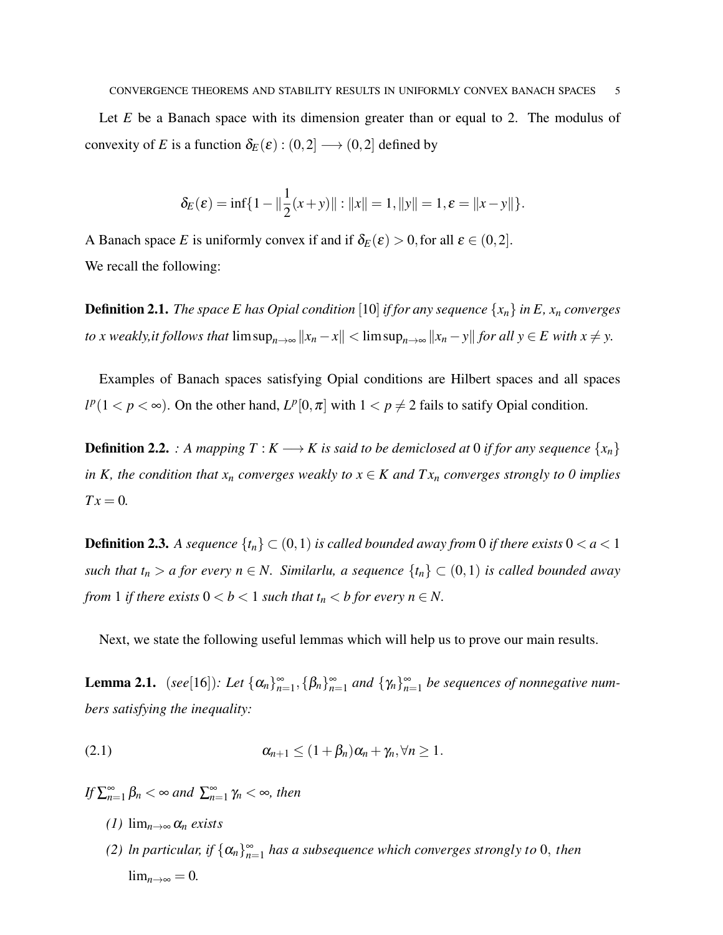Let *E* be a Banach space with its dimension greater than or equal to 2. The modulus of convexity of *E* is a function  $\delta_E(\varepsilon) : (0,2] \longrightarrow (0,2]$  defined by

$$
\delta_E(\varepsilon) = \inf\{1 - ||\frac{1}{2}(x+y)|| : ||x|| = 1, ||y|| = 1, \varepsilon = ||x-y||\}.
$$

A Banach space *E* is uniformly convex if and if  $\delta_E(\varepsilon) > 0$ , for all  $\varepsilon \in (0,2]$ . We recall the following:

**Definition 2.1.** *The space E has Opial condition* [10] *if for any sequence*  $\{x_n\}$  *in E,*  $x_n$  *converges to x weakly,it follows that*  $\limsup_{n\to\infty} ||x_n - x|| < \limsup_{n\to\infty} ||x_n - y||$  *for all y* ∈ *E with x* ≠ *y*.

Examples of Banach spaces satisfying Opial conditions are Hilbert spaces and all spaces  $l^p(1 < p < \infty)$ . On the other hand,  $L^p[0, \pi]$  with  $1 < p \neq 2$  fails to satify Opial condition.

**Definition 2.2.** *: A mapping*  $T: K \longrightarrow K$  *is said to be demiclosed at* 0 *if for any sequence*  $\{x_n\}$ *in K, the condition that*  $x_n$  *converges weakly to*  $x \in K$  *and*  $Tx_n$  *<i>converges strongly to 0 implies*  $Tx = 0$ .

**Definition 2.3.** A sequence  $\{t_n\} \subset (0,1)$  is called bounded away from 0 if there exists  $0 < a < 1$ *such that*  $t_n > a$  *for every*  $n \in N$ . Similarlu, a sequence  $\{t_n\} \subset (0,1)$  *is called bounded away from* 1 *if there exists*  $0 < b < 1$  *such that*  $t_n < b$  *for every*  $n \in N$ *.* 

Next, we state the following useful lemmas which will help us to prove our main results.

**Lemma 2.1.** (*see*[16]): Let  $\{\alpha_n\}_{n=1}^{\infty}$ ,  $\{\beta_n\}_{n=1}^{\infty}$  and  $\{\gamma_n\}_{n=1}^{\infty}$  be sequences of nonnegative num*bers satisfying the inequality:*

$$
\alpha_{n+1} \le (1+\beta_n)\alpha_n + \gamma_n, \forall n \ge 1.
$$

*If*  $\sum_{n=1}^{\infty} \beta_n < \infty$  and  $\sum_{n=1}^{\infty} \gamma_n < \infty$ , then

- *(1)* lim*n*→<sup>∞</sup> α*<sup>n</sup> exists*
- *(2) ln particular, if*  $\{\alpha_n\}_{n=1}^{\infty}$  *has a subsequence which converges strongly to* 0, *then*  $\lim_{n\to\infty}$  = 0.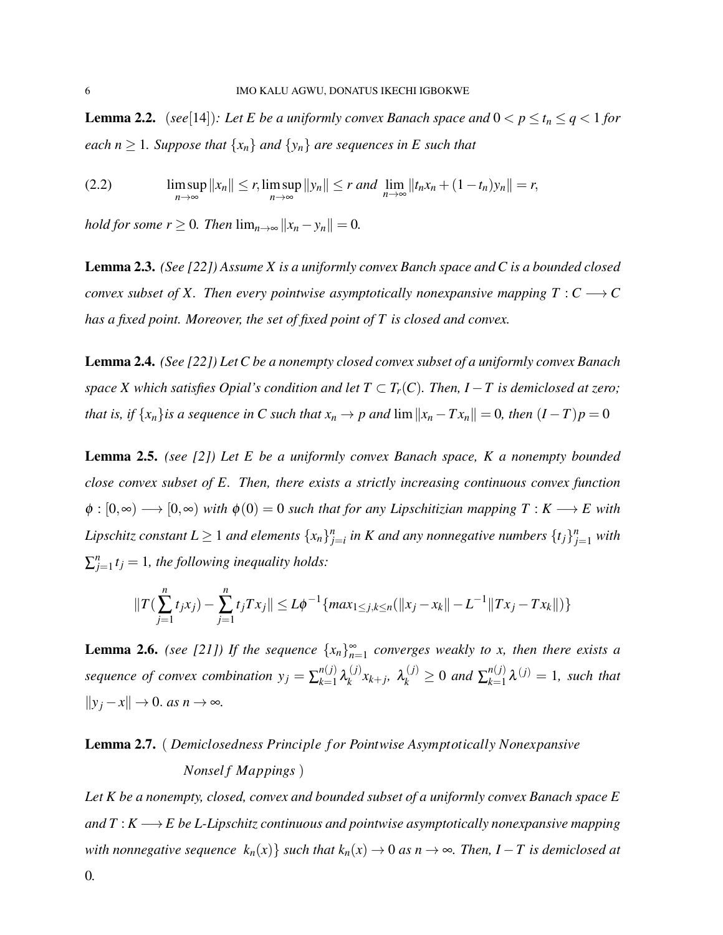**Lemma 2.2.** (*see*[14])*:* Let E be a uniformly convex Banach space and  $0 < p \le t_n \le q < 1$  for *each*  $n \geq 1$ *. Suppose that*  $\{x_n\}$  *and*  $\{y_n\}$  *are sequences in E such that* 

(2.2) 
$$
\limsup_{n\to\infty}||x_n|| \leq r, \limsup_{n\to\infty}||y_n|| \leq r \text{ and } \lim_{n\to\infty}||t_nx_n + (1-t_n)y_n|| = r,
$$

*hold for some r*  $\geq$  0*. Then*  $\lim_{n\to\infty}$   $||x_n - y_n|| = 0$ *.* 

Lemma 2.3. *(See [22]) Assume X is a uniformly convex Banch space and C is a bounded closed convex subset of X. Then every pointwise asymptotically nonexpansive mapping*  $T: C \longrightarrow C$ *has a fixed point. Moreover, the set of fixed point of T is closed and convex.*

Lemma 2.4. *(See [22]) Let C be a nonempty closed convex subset of a uniformly convex Banach space X which satisfies Opial's condition and let*  $T \subset T_r(C)$ *. Then, I* − *T* is demiclosed at zero; *that is, if*  $\{x_n\}$ *is a sequence in C such that*  $x_n \to p$  *and*  $\lim ||x_n - Tx_n|| = 0$ *, then*  $(I - T)p = 0$ 

Lemma 2.5. *(see [2]) Let E be a uniformly convex Banach space, K a nonempty bounded close convex subset of E. Then, there exists a strictly increasing continuous convex function*  $\phi : [0, \infty) \longrightarrow [0, \infty)$  *with*  $\phi(0) = 0$  *such that for any Lipschitizian mapping*  $T : K \longrightarrow E$  *with Lipschitz constant*  $L \geq 1$  *and elements*  $\{x_n\}_{j=i}^n$  *in K and any nonnegative numbers*  $\{t_j\}_{j=1}^n$  *with*  $\sum_{j=1}^{n} t_j = 1$ , the following inequality holds:

$$
||T(\sum_{j=1}^{n} t_j x_j) - \sum_{j=1}^{n} t_j Tx_j|| \le L\phi^{-1} \{ max_{1 \le j,k \le n} (\|x_j - x_k\| - L^{-1} \|Tx_j - Tx_k\| ) \}
$$

**Lemma 2.6.** *(see [21])* If the sequence  $\{x_n\}_{n=1}^{\infty}$  converges weakly to x, then there exists a *sequence of convex combination*  $y_j = \sum_{k=1}^{n(j)}$  $\underset{k=1}{n(j)}$   $\lambda_k^{(j)}$  $\lambda_k^{(j)} \times_{k+j} \lambda_k^{(j)} \geq 0$  and  $\sum_{k=1}^{n(j)}$  $\chi_{k=1}^{n(j)} \lambda^{(j)} = 1$ , such that  $||y_j - x||$  → 0. *as*  $n \to \infty$ *.* 

# Lemma 2.7. ( *Demiclosedness Principle f or Pointwise Asymptotically Nonexpansive Nonsel f Mappings* )

*Let K be a nonempty, closed, convex and bounded subset of a uniformly convex Banach space E and*  $T: K \longrightarrow E$  *be L-Lipschitz continuous and pointwise asymptotically nonexpansive mapping with nonnegative sequence*  $k_n(x)$  *such that*  $k_n(x) \to 0$  *as*  $n \to \infty$ *. Then, I* − *T is demiclosed at*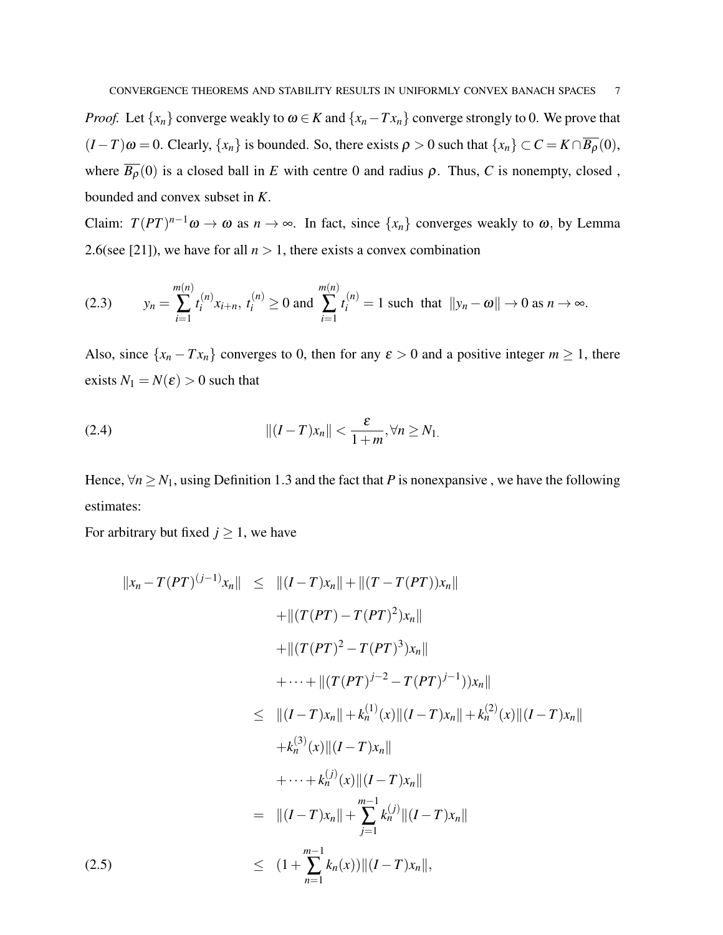*Proof.* Let  $\{x_n\}$  converge weakly to  $\omega \in K$  and  $\{x_n - Tx_n\}$  converge strongly to 0. We prove that  $(I - T)\omega = 0$ . Clearly,  $\{x_n\}$  is bounded. So, there exists  $\rho > 0$  such that  $\{x_n\} \subset C = K \cap \overline{B_\rho}(0)$ , where  $\overline{B_{\rho}}(0)$  is a closed ball in *E* with centre 0 and radius  $\rho$ . Thus, *C* is nonempty, closed, bounded and convex subset in *K*.

Claim:  $T(PT)^{n-1}\omega \to \omega$  as  $n \to \infty$ . In fact, since  $\{x_n\}$  converges weakly to  $\omega$ , by Lemma 2.6(see [21]), we have for all  $n > 1$ , there exists a convex combination

$$
(2.3) \t y_n = \sum_{i=1}^{m(n)} t_i^{(n)} x_{i+n}, \ t_i^{(n)} \ge 0 \text{ and } \sum_{i=1}^{m(n)} t_i^{(n)} = 1 \text{ such that } ||y_n - \omega|| \to 0 \text{ as } n \to \infty.
$$

Also, since  $\{x_n - Tx_n\}$  converges to 0, then for any  $\varepsilon > 0$  and a positive integer  $m \ge 1$ , there exists  $N_1 = N(\varepsilon) > 0$  such that

(2.4) 
$$
||(I-T)x_n|| < \frac{\varepsilon}{1+m}, \forall n \ge N_1.
$$

Hence,  $\forall n \ge N_1$ , using Definition 1.3 and the fact that *P* is nonexpansive, we have the following estimates:

For arbitrary but fixed  $j \ge 1$ , we have

$$
||x_n - T(PT)^{(j-1)}x_n|| \le ||(I - T)x_n|| + ||(T - T(PT))x_n||
$$
  
+ 
$$
||(T(PT) - T(PT)^2)x_n||
$$
  
+ 
$$
||(T(PT)^2 - T(PT)^3)x_n||
$$
  
+ 
$$
\cdots + ||(T(PT)^{j-2} - T(PT)^{j-1}))x_n||
$$
  

$$
\le ||(I - T)x_n|| + k_n^{(1)}(x)||(I - T)x_n|| + k_n^{(2)}(x)||(I - T)x_n||
$$
  
+ 
$$
k_n^{(3)}(x)||(I - T)x_n||
$$
  
+ 
$$
\cdots + k_n^{(j)}(x)||(I - T)x_n||
$$
  
= 
$$
||(I - T)x_n|| + \sum_{j=1}^{m-1} k_n^{(j)}||(I - T)x_n||
$$
  
(2.5) 
$$
\le (1 + \sum_{n=1}^{m-1} k_n(x))||(I - T)x_n||,
$$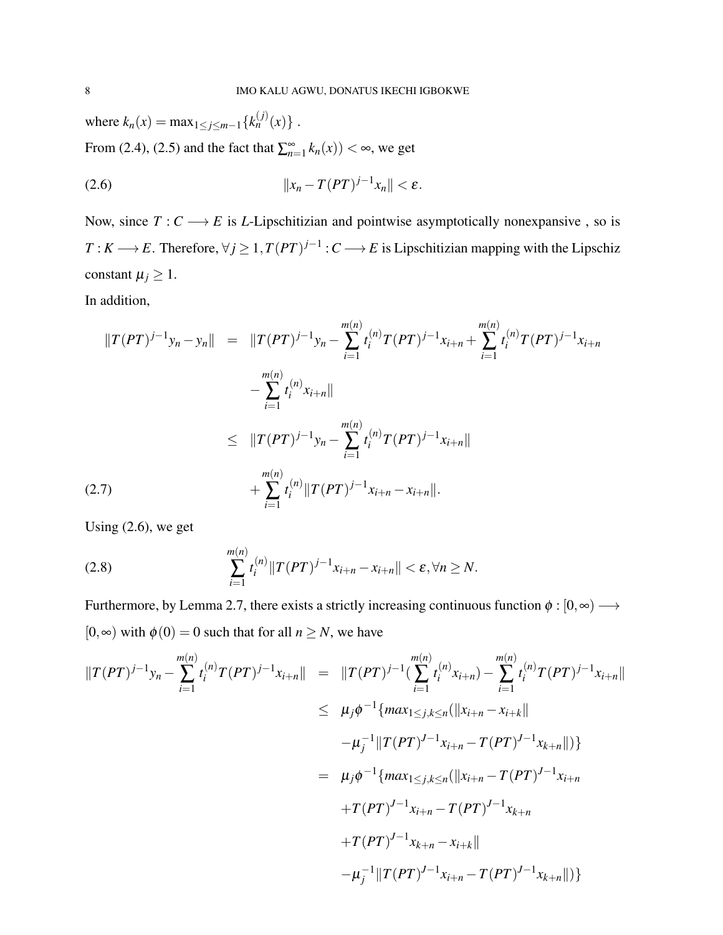where  $k_n(x) = \max_{1 \le j \le m-1} \{k_n^{(j)}(x)\}$ . From (2.4), (2.5) and the fact that  $\sum_{n=1}^{\infty} k_n(x)$   $< \infty$ , we get

(2.6) k*x<sup>n</sup>* −*T*(*PT*) *j*−1 *xn*k < ε.

Now, since  $T: C \longrightarrow E$  is *L*-Lipschitizian and pointwise asymptotically nonexpansive, so is *T* : *K* → *E*. Therefore,  $\forall j \geq 1$ ,  $T(PT)^{j-1}$  : *C* → *E* is Lipschitizian mapping with the Lipschiz constant  $\mu_j \geq 1$ .

In addition,

$$
||T(PT)^{j-1}y_n - y_n|| = ||T(PT)^{j-1}y_n - \sum_{i=1}^{m(n)} t_i^{(n)} T(PT)^{j-1} x_{i+n} + \sum_{i=1}^{m(n)} t_i^{(n)} T(PT)^{j-1} x_{i+n}
$$
  

$$
- \sum_{i=1}^{m(n)} t_i^{(n)} x_{i+n}||
$$
  

$$
\leq ||T(PT)^{j-1}y_n - \sum_{i=1}^{m(n)} t_i^{(n)} T(PT)^{j-1} x_{i+n}||
$$
  
(2.7)  

$$
+ \sum_{i=1}^{m(n)} t_i^{(n)} ||T(PT)^{j-1} x_{i+n} - x_{i+n}||.
$$

Using  $(2.6)$ , we get

(2.8) 
$$
\sum_{i=1}^{m(n)} t_i^{(n)} \|T(PT)^{j-1}x_{i+n} - x_{i+n}\| < \varepsilon, \forall n \ge N.
$$

Furthermore, by Lemma 2.7, there exists a strictly increasing continuous function  $\phi : [0, \infty) \longrightarrow$  $[0, \infty)$  with  $\phi(0) = 0$  such that for all  $n \geq N$ , we have

$$
||T(PT)^{j-1}y_n - \sum_{i=1}^{m(n)} t_i^{(n)}T(PT)^{j-1}x_{i+n}|| = ||T(PT)^{j-1}(\sum_{i=1}^{m(n)} t_i^{(n)}x_{i+n}) - \sum_{i=1}^{m(n)} t_i^{(n)}T(PT)^{j-1}x_{i+n}||
$$
  
\n
$$
\leq \mu_j \phi^{-1} \{ \max_{1 \leq j,k \leq n} (||x_{i+n} - x_{i+k}|| -\mu_j^{-1}||T(PT)^{J-1}x_{i+n} - T(PT)^{J-1}x_{k+n}||) \}
$$
  
\n
$$
= \mu_j \phi^{-1} \{ \max_{1 \leq j,k \leq n} (||x_{i+n} - T(PT)^{J-1}x_{i+n} + T(PT)^{J-1}x_{i+n} - T(PT)^{J-1}x_{k+n} + T(PT)^{J-1}x_{k+n} - x_{i+k}|| -\mu_j^{-1}||T(PT)^{J-1}x_{i+n} - T(PT)^{J-1}x_{k+n}||) \}
$$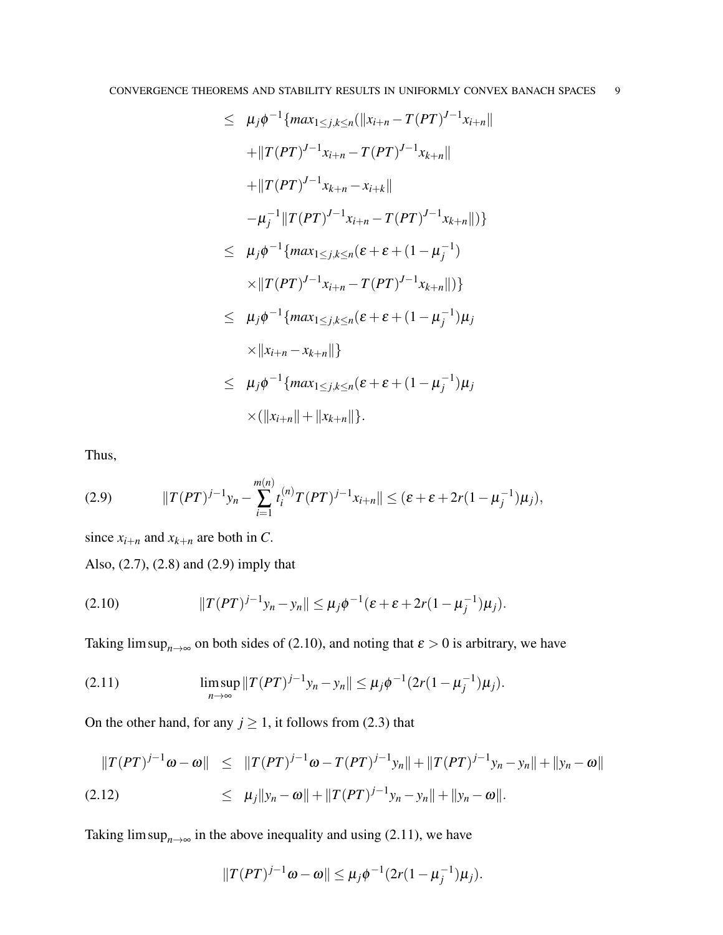$$
\leq \mu_j \phi^{-1} \{ \max_{1 \leq j,k \leq n} (\|x_{i+n} - T(PT)^{J-1} x_{i+n} \| \n+ \| T(PT)^{J-1} x_{i+n} - T(PT)^{J-1} x_{k+n} \| \n+ \| T(PT)^{J-1} x_{k+n} - x_{i+k} \| \n- \mu_j^{-1} \| T(PT)^{J-1} x_{i+n} - T(PT)^{J-1} x_{k+n} \|) \} \n\leq \mu_j \phi^{-1} \{ \max_{1 \leq j,k \leq n} (\varepsilon + \varepsilon + (1 - \mu_j^{-1}) \n\times \| T(PT)^{J-1} x_{i+n} - T(PT)^{J-1} x_{k+n} \|) \} \n\leq \mu_j \phi^{-1} \{ \max_{1 \leq j,k \leq n} (\varepsilon + \varepsilon + (1 - \mu_j^{-1}) \mu_j \n\times \| x_{i+n} - x_{k+n} \| \} \n\leq \mu_j \phi^{-1} \{ \max_{1 \leq j,k \leq n} (\varepsilon + \varepsilon + (1 - \mu_j^{-1}) \mu_j \n\times (\| x_{i+n} \| + \| x_{k+n} \| ).
$$

Thus,

(2.9) 
$$
||T(PT)^{j-1}y_n - \sum_{i=1}^{m(n)} t_i^{(n)} T(PT)^{j-1} x_{i+n}|| \leq (\varepsilon + \varepsilon + 2r(1 - \mu_j^{-1})\mu_j),
$$

since  $x_{i+n}$  and  $x_{k+n}$  are both in *C*.

Also, (2.7), (2.8) and (2.9) imply that

(2.10) 
$$
||T(PT)^{j-1}y_n - y_n|| \leq \mu_j \phi^{-1}(\varepsilon + \varepsilon + 2r(1 - \mu_j^{-1})\mu_j).
$$

Taking lim sup<sub>n→∞</sub> on both sides of (2.10), and noting that  $\varepsilon > 0$  is arbitrary, we have

(2.11) 
$$
\limsup_{n\to\infty}||T(PT)^{j-1}y_n-y_n|| \leq \mu_j\phi^{-1}(2r(1-\mu_j^{-1})\mu_j).
$$

On the other hand, for any  $j \ge 1$ , it follows from (2.3) that

$$
||T(PT)^{j-1}\omega - \omega|| \le ||T(PT)^{j-1}\omega - T(PT)^{j-1}y_n|| + ||T(PT)^{j-1}y_n - y_n|| + ||y_n - \omega||
$$
  
(2.12) 
$$
\le \mu_j ||y_n - \omega|| + ||T(PT)^{j-1}y_n - y_n|| + ||y_n - \omega||.
$$

Taking lim sup<sub>*n*→∞</sub> in the above inequality and using (2.11), we have

$$
||T(PT)^{j-1}\omega - \omega|| \leq \mu_j \phi^{-1} (2r(1-\mu_j^{-1})\mu_j).
$$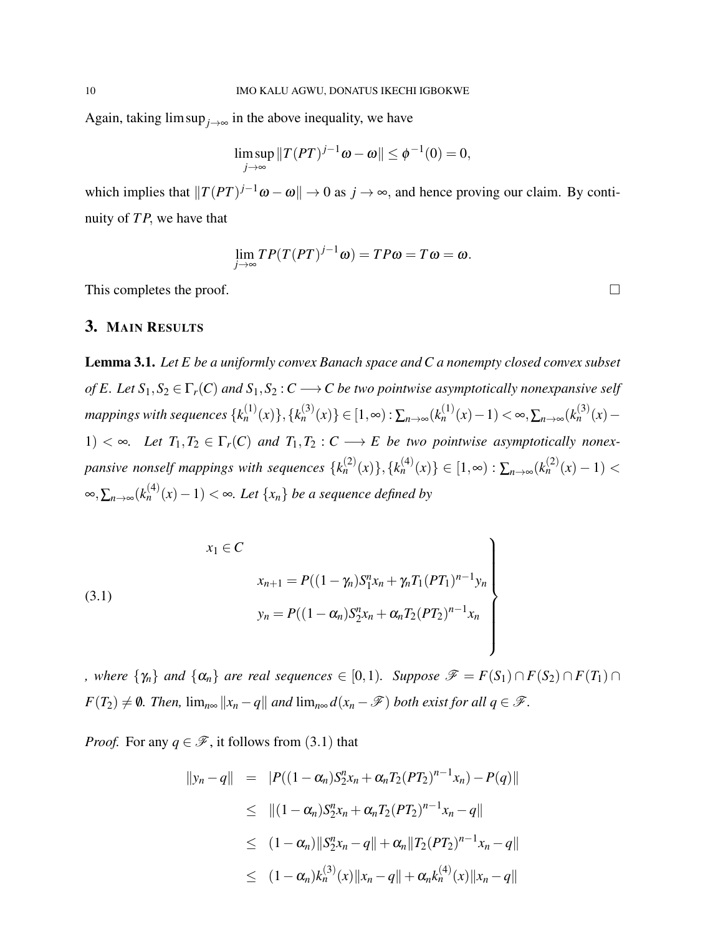Again, taking  $\limsup_{j\to\infty}$  in the above inequality, we have

$$
\limsup_{j\to\infty}||T(PT)^{j-1}\omega-\omega||\leq\phi^{-1}(0)=0,
$$

which implies that  $||T(PT)^{j-1}\omega - \omega|| \to 0$  as  $j \to \infty$ , and hence proving our claim. By continuity of *T P*, we have that

$$
\lim_{j\to\infty}TP(T(PT)^{j-1}\omega)=TP\omega=T\omega=\omega.
$$

This completes the proof.  $\Box$ 

# 3. MAIN RESULTS

Lemma 3.1. *Let E be a uniformly convex Banach space and C a nonempty closed convex subset of E. Let*  $S_1, S_2 \in \Gamma_r(C)$  *and*  $S_1, S_2 : C \longrightarrow C$  *be two pointwise asymptotically nonexpansive self mappings with sequences*  $\{k_n^{(1)}(x)\}, \{k_n^{(3)}(x)\}$  ∈  $[1, ∞)$  :  $\sum_{n\to ∞}(k_n^{(1)}(x)-1) < ∞, \sum_{n\to ∞}(k_n^{(3)}(x)-1)$ 1)  $\langle \infty, \text{ Let } T_1, T_2 \in \Gamma_r(C) \text{ and } T_1, T_2 : C \longrightarrow E \text{ be two pointwise asymptotically nonempty.}$  $p$ *ansive nonself mappings with sequences*  $\{k_n^{(2)}(x)\}, \{k_n^{(4)}(x)\} \in [1, \infty) : \sum_{n \to \infty} (k_n^{(2)}(x) - 1)$  < ∞, $\sum_{n\to\infty}$ ( $k_n^{(4)}(x) - 1$ ) < ∞*. Let*  $\{x_n\}$  *be a sequence defined by* 

(3.1)  

$$
x_{1} \in C
$$

$$
x_{n+1} = P((1 - \gamma_{n})S_{1}^{n}x_{n} + \gamma_{n}T_{1}(PT_{1})^{n-1}y_{n})
$$

$$
y_{n} = P((1 - \alpha_{n})S_{2}^{n}x_{n} + \alpha_{n}T_{2}(PT_{2})^{n-1}x_{n})
$$

*, where*  $\{ \gamma_n \}$  *and*  $\{ \alpha_n \}$  *are real sequences*  $\in [0,1)$ *. Suppose*  $\mathscr{F} = F(S_1) \cap F(S_2) \cap F(T_1) \cap F(T_2)$  $F(T_2) \neq \emptyset$ . Then,  $\lim_{n \infty} ||x_n - q||$  and  $\lim_{n \infty} d(x_n - \mathscr{F})$  both exist for all  $q \in \mathscr{F}$ .

*Proof.* For any  $q \in \mathcal{F}$ , it follows from (3.1) that

$$
\begin{array}{rcl} ||y_n - q|| & = & |P((1 - \alpha_n)S_2^n x_n + \alpha_n T_2 (PT_2)^{n-1} x_n) - P(q)|| \\ & \leq & ||(1 - \alpha_n)S_2^n x_n + \alpha_n T_2 (PT_2)^{n-1} x_n - q|| \\ & \leq & (1 - \alpha_n) ||S_2^n x_n - q|| + \alpha_n ||T_2 (PT_2)^{n-1} x_n - q|| \\ & \leq & (1 - \alpha_n) k_n^{(3)}(x) ||x_n - q|| + \alpha_n k_n^{(4)}(x) ||x_n - q|| \end{array}
$$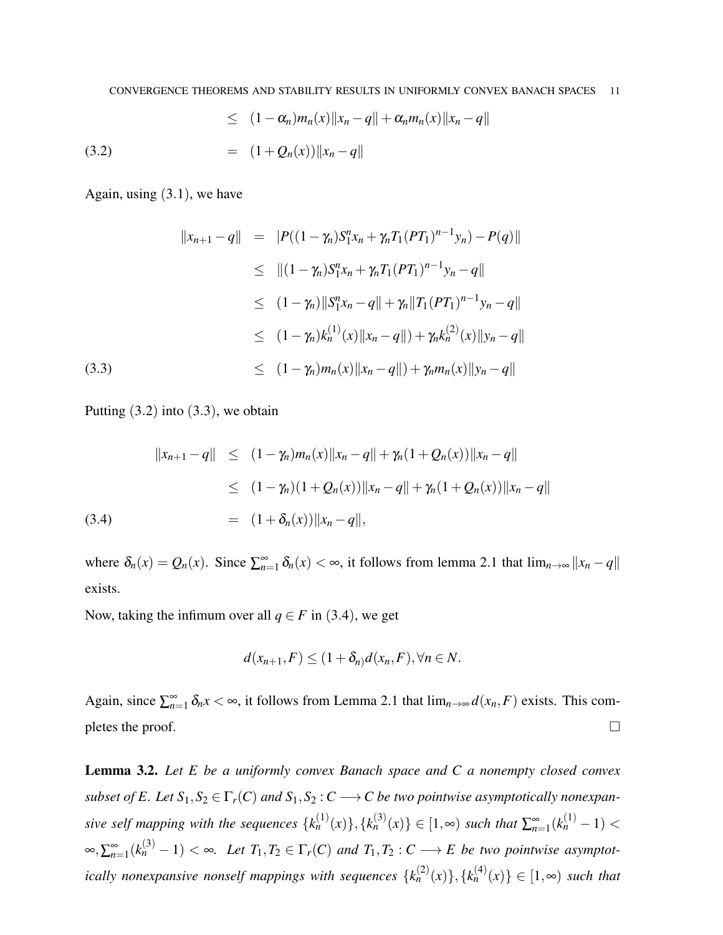(3.2) 
$$
\leq (1 - \alpha_n) m_n(x) \|x_n - q\| + \alpha_n m_n(x) \|x_n - q\|
$$

$$
= (1 + Q_n(x)) \|x_n - q\|
$$

Again, using  $(3.1)$ , we have

$$
||x_{n+1} - q|| = |P((1 - \gamma_n)S_1^n x_n + \gamma_n T_1 (PT_1)^{n-1} y_n) - P(q)||
$$
  
\n
$$
\leq ||(1 - \gamma_n)S_1^n x_n + \gamma_n T_1 (PT_1)^{n-1} y_n - q||
$$
  
\n
$$
\leq (1 - \gamma_n) ||S_1^n x_n - q|| + \gamma_n ||T_1 (PT_1)^{n-1} y_n - q||
$$
  
\n
$$
\leq (1 - \gamma_n) k_n^{(1)}(x) ||x_n - q|| + \gamma_n k_n^{(2)}(x) ||y_n - q||
$$
  
\n(3.3)  
\n
$$
\leq (1 - \gamma_n) m_n(x) ||x_n - q|| + \gamma_n m_n(x) ||y_n - q||
$$

Putting  $(3.2)$  into  $(3.3)$ , we obtain

$$
||x_{n+1} - q|| \le (1 - \gamma_n) m_n(x) ||x_n - q|| + \gamma_n (1 + Q_n(x)) ||x_n - q||
$$
  
\n
$$
\le (1 - \gamma_n) (1 + Q_n(x)) ||x_n - q|| + \gamma_n (1 + Q_n(x)) ||x_n - q||
$$
  
\n(3.4)  
\n
$$
= (1 + \delta_n(x)) ||x_n - q||,
$$

where  $\delta_n(x) = Q_n(x)$ . Since  $\sum_{n=1}^{\infty} \delta_n(x) < \infty$ , it follows from lemma 2.1 that  $\lim_{n\to\infty} ||x_n - q||$ exists.

Now, taking the infimum over all  $q \in F$  in (3.4), we get

$$
d(x_{n+1},F) \leq (1+\delta_n)d(x_n,F), \forall n \in N.
$$

Again, since  $\sum_{n=1}^{\infty} \delta_n x < \infty$ , it follows from Lemma 2.1 that  $\lim_{n\to\infty} d(x_n, F)$  exists. This completes the proof.  $\Box$ 

Lemma 3.2. *Let E be a uniformly convex Banach space and C a nonempty closed convex subset of E. Let*  $S_1, S_2 \in \Gamma_r(C)$  *and*  $S_1, S_2 : C \longrightarrow C$  *be two pointwise asymptotically nonexpansive self mapping with the sequences*  ${k_n^{(1)}(x)}$ ,  ${k_n^{(3)}(x)} \in [1, \infty)$  *such that*  $\sum_{n=1}^{\infty} (k_n^{(1)} - 1)$  <  $\int_{-\infty}^{\infty}$ ,  $\sum_{n=1}^{\infty} (k_n^{(3)} - 1) < \infty$ . Let  $T_1, T_2 \in \Gamma_r(C)$  and  $T_1, T_2 : C \longrightarrow E$  be two pointwise asymptot*ically nonexpansive nonself mappings with sequences*  $\{k_n^{(2)}(x)\}, \{k_n^{(4)}(x)\} \in [1, \infty)$  such that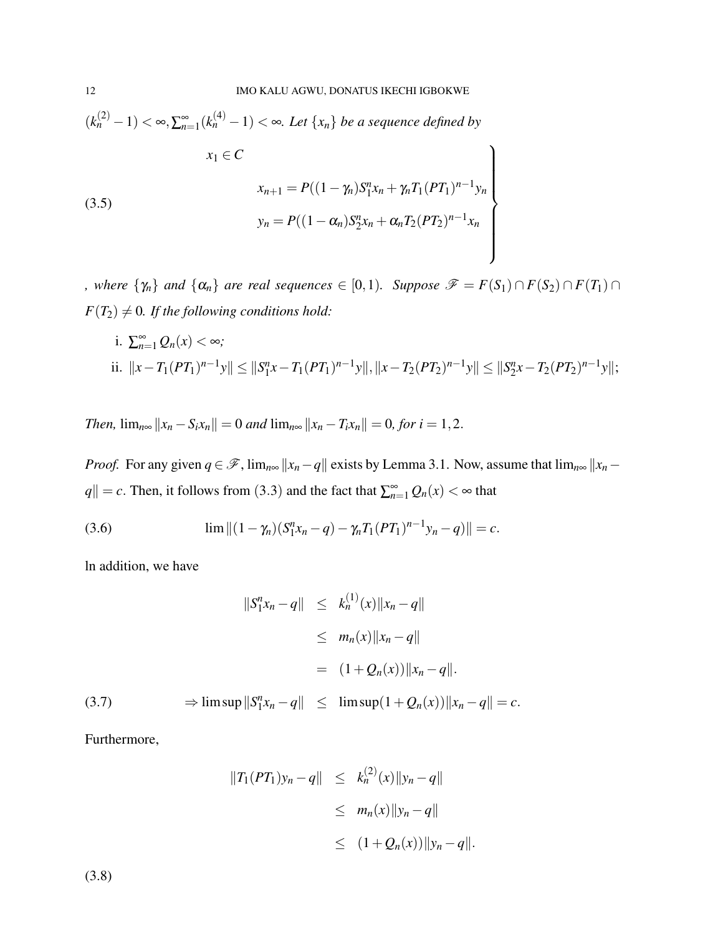$$
(k_n^{(2)} - 1) < \infty, \sum_{n=1}^{\infty} (k_n^{(4)} - 1) < \infty. \text{ Let } \{x_n\} \text{ be a sequence defined by}
$$
\n
$$
x_1 \in C
$$
\n
$$
x_{n+1} = P((1 - \gamma_n)S_1^n x_n + \gamma_n T_1 (PT_1)^{n-1} y_n)
$$
\n
$$
y_n = P((1 - \alpha_n)S_2^n x_n + \alpha_n T_2 (PT_2)^{n-1} x_n)
$$

*, where*  $\{\gamma_n\}$  *and*  $\{\alpha_n\}$  *are real sequences*  $\in [0,1)$ *. Suppose*  $\mathscr{F} = F(S_1) \cap F(S_2) \cap F(T_1) \cap$  $F(T_2) \neq 0$ *. If the following conditions hold:* 

i. 
$$
\sum_{n=1}^{\infty} Q_n(x) < \infty;
$$
  
ii.  $||x - T_1(PT_1)^{n-1}y|| \le ||S_1^n x - T_1(PT_1)^{n-1}y||, ||x - T_2(PT_2)^{n-1}y|| \le ||S_2^n x - T_2(PT_2)^{n-1}y||;$ 

*Then,*  $\lim_{n \infty} ||x_n - S_i x_n|| = 0$  *and*  $\lim_{n \infty} ||x_n - T_i x_n|| = 0$ , for  $i = 1, 2$ .

*Proof.* For any given  $q \in \mathcal{F}$ ,  $\lim_{n \infty} ||x_n - q||$  exists by Lemma 3.1. Now, assume that  $\lim_{n \infty} ||x_n - q||$  $|q| = c$ . Then, it follows from (3.3) and the fact that  $\sum_{n=1}^{\infty} Q_n(x) < \infty$  that

(3.6) 
$$
\lim ||(1 - \gamma_n)(S_1^n x_n - q) - \gamma_n T_1 (PT_1)^{n-1} y_n - q|| = c.
$$

ln addition, we have

$$
||S_1^n x_n - q|| \le k_n^{(1)}(x) ||x_n - q||
$$
  
\n
$$
\le m_n(x) ||x_n - q||
$$
  
\n
$$
= (1 + Q_n(x)) ||x_n - q||.
$$
  
\n(3.7)  
\n
$$
\Rightarrow \limsup ||S_1^n x_n - q|| \le \limsup (1 + Q_n(x)) ||x_n - q|| = c.
$$

Furthermore,

$$
||T_1(PT_1)y_n - q|| \le k_n^{(2)}(x)||y_n - q||
$$
  
\n
$$
\le m_n(x)||y_n - q||
$$
  
\n
$$
\le (1 + Q_n(x))||y_n - q||.
$$

(3.8)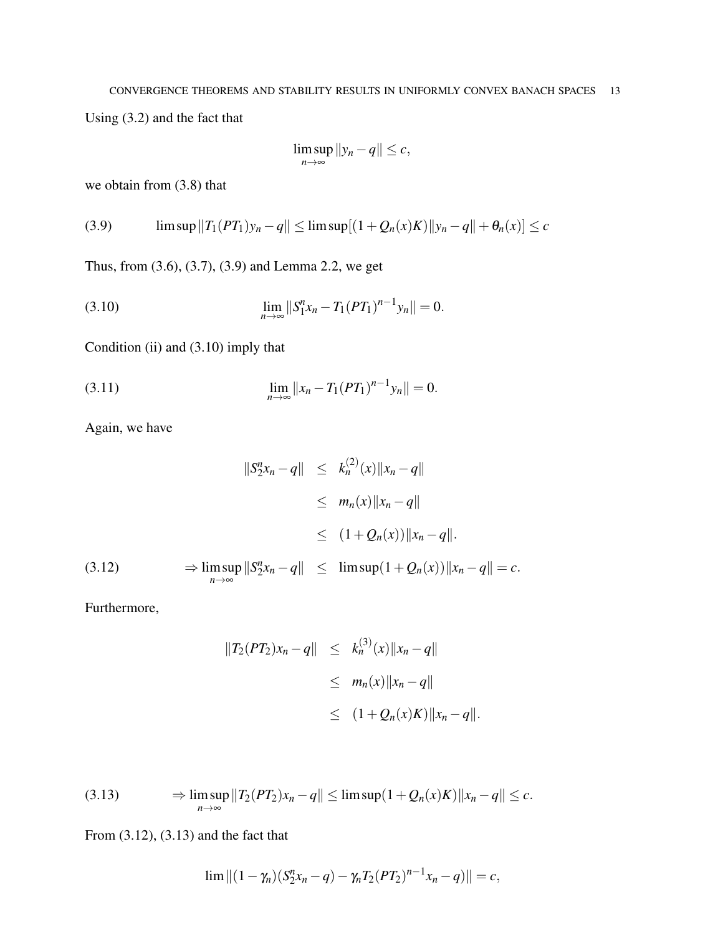Using (3.2) and the fact that

$$
\limsup_{n\to\infty}||y_n-q||\leq c,
$$

we obtain from (3.8) that

$$
(3.9) \qquad \limsup ||T_1(PT_1)y_n - q|| \le \limsup [ (1 + Q_n(x)K) ||y_n - q|| + \theta_n(x) ] \le c
$$

Thus, from (3.6), (3.7), (3.9) and Lemma 2.2, we get

(3.10) 
$$
\lim_{n\to\infty}||S_1^n x_n - T_1(PT_1)^{n-1}y_n|| = 0.
$$

Condition (ii) and (3.10) imply that

(3.11) 
$$
\lim_{n \to \infty} ||x_n - T_1(PT_1)^{n-1}y_n|| = 0.
$$

Again, we have

$$
||S_2^n x_n - q|| \le k_n^{(2)}(x) ||x_n - q||
$$
  
\n
$$
\le m_n(x) ||x_n - q||
$$
  
\n
$$
\le (1 + Q_n(x)) ||x_n - q||.
$$
  
\n(3.12) 
$$
\Rightarrow \limsup_{n \to \infty} ||S_2^n x_n - q|| \le \limsup (1 + Q_n(x)) ||x_n - q|| = c.
$$

Furthermore,

$$
||T_2(PT_2)x_n - q|| \leq k_n^{(3)}(x) ||x_n - q||
$$
  
\n
$$
\leq m_n(x) ||x_n - q||
$$
  
\n
$$
\leq (1 + Q_n(x)K) ||x_n - q||.
$$

$$
(3.13) \qquad \Rightarrow \limsup_{n\to\infty} ||T_2(PT_2)x_n - q|| \leq \limsup (1 + Q_n(x)K) ||x_n - q|| \leq c.
$$

From (3.12), (3.13) and the fact that

$$
\lim ||(1 - \gamma_n)(S_2^n x_n - q) - \gamma_n T_2 (PT_2)^{n-1} x_n - q)|| = c,
$$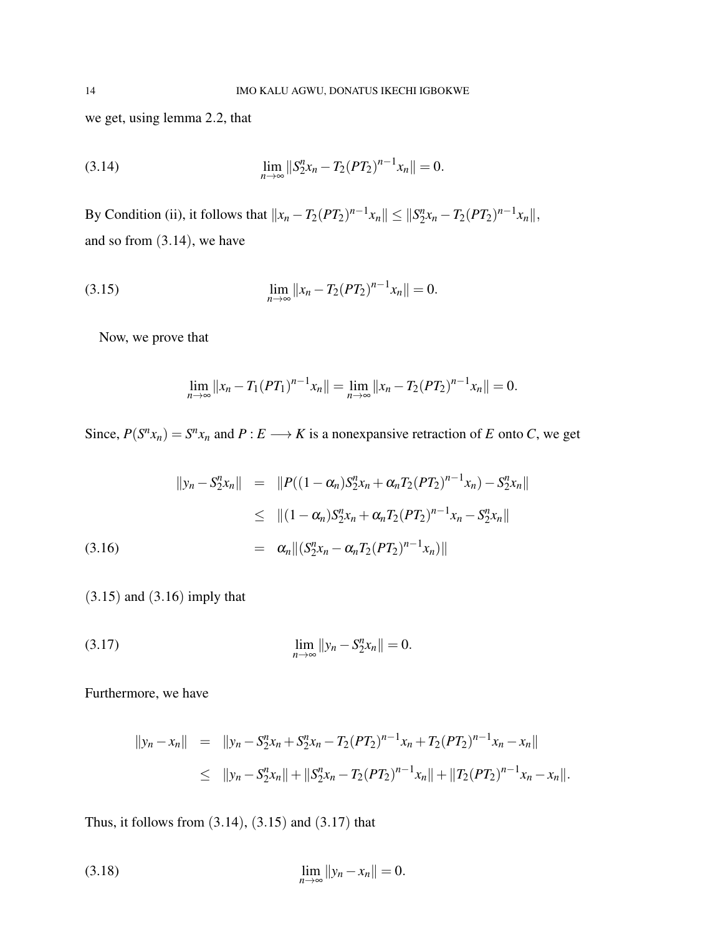we get, using lemma 2.2, that

(3.14) 
$$
\lim_{n\to\infty}||S_2^n x_n - T_2(PT_2)^{n-1}x_n|| = 0.
$$

By Condition (ii), it follows that  $||x_n - T_2(PT_2)^{n-1}x_n|| \leq ||S_2^n||$  $T_2^nx_n - T_2(PT_2)^{n-1}x_n\|,$ and so from (3.14), we have

(3.15) 
$$
\lim_{n \to \infty} ||x_n - T_2(PT_2)^{n-1}x_n|| = 0.
$$

Now, we prove that

$$
\lim_{n\to\infty}||x_n-T_1(PT_1)^{n-1}x_n||=\lim_{n\to\infty}||x_n-T_2(PT_2)^{n-1}x_n||=0.
$$

Since,  $P(S^n x_n) = S^n x_n$  and  $P: E \longrightarrow K$  is a nonexpansive retraction of *E* onto *C*, we get

$$
\|y_n - S_2^n x_n\| = \|P((1 - \alpha_n)S_2^n x_n + \alpha_n T_2 (PT_2)^{n-1} x_n) - S_2^n x_n\|
$$
  
\n
$$
\leq \| (1 - \alpha_n)S_2^n x_n + \alpha_n T_2 (PT_2)^{n-1} x_n - S_2^n x_n\|
$$
  
\n(3.16)  
\n
$$
= \alpha_n \| (S_2^n x_n - \alpha_n T_2 (PT_2)^{n-1} x_n)\|
$$

(3.15) and (3.16) imply that

(3.17) 
$$
\lim_{n \to \infty} ||y_n - S_2^n x_n|| = 0.
$$

Furthermore, we have

$$
\begin{array}{rcl}\n\|\mathbf{y}_n - \mathbf{x}_n\| & = & \|\mathbf{y}_n - \mathbf{S}_2^n \mathbf{x}_n + \mathbf{S}_2^n \mathbf{x}_n - T_2 (P T_2)^{n-1} \mathbf{x}_n + T_2 (P T_2)^{n-1} \mathbf{x}_n - \mathbf{x}_n\| \\
& \leq & \|\mathbf{y}_n - \mathbf{S}_2^n \mathbf{x}_n\| + \|\mathbf{S}_2^n \mathbf{x}_n - T_2 (P T_2)^{n-1} \mathbf{x}_n\| + \|T_2 (P T_2)^{n-1} \mathbf{x}_n - \mathbf{x}_n\|. \n\end{array}
$$

Thus, it follows from (3.14), (3.15) and (3.17) that

(3.18) 
$$
\lim_{n \to \infty} ||y_n - x_n|| = 0.
$$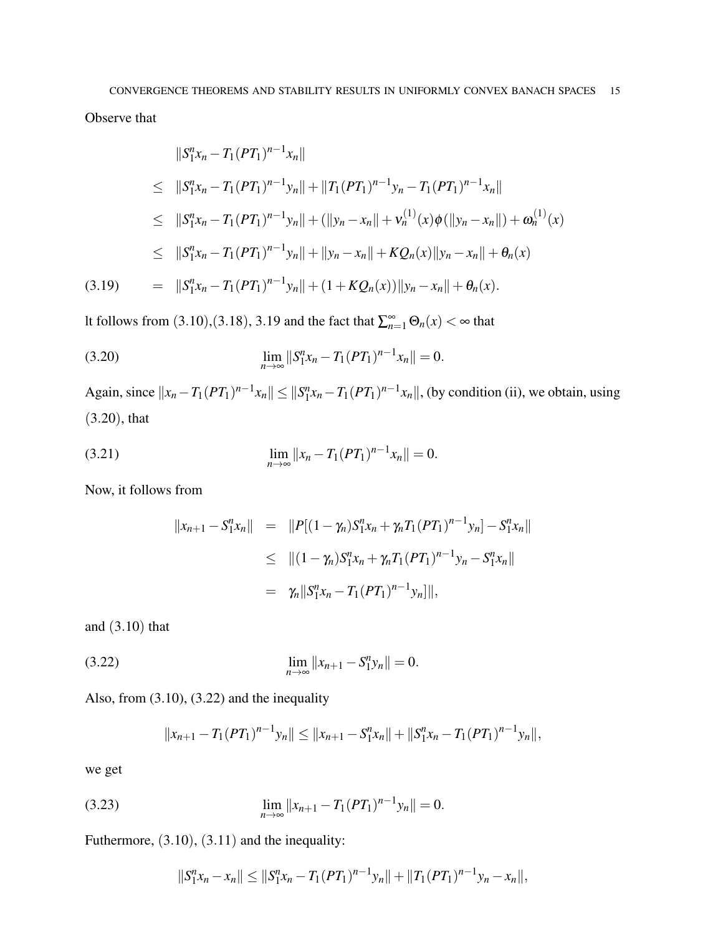Observe that

$$
||S_1^n x_n - T_1 (PT_1)^{n-1} x_n||
$$
  
\n
$$
\leq ||S_1^n x_n - T_1 (PT_1)^{n-1} y_n|| + ||T_1 (PT_1)^{n-1} y_n - T_1 (PT_1)^{n-1} x_n||
$$
  
\n
$$
\leq ||S_1^n x_n - T_1 (PT_1)^{n-1} y_n|| + (||y_n - x_n|| + v_n^{(1)}(x)\phi(||y_n - x_n||) + \omega_n^{(1)}(x))
$$
  
\n
$$
\leq ||S_1^n x_n - T_1 (PT_1)^{n-1} y_n|| + ||y_n - x_n|| + KQ_n(x)||y_n - x_n|| + \theta_n(x)
$$
  
\n(3.19) 
$$
= ||S_1^n x_n - T_1 (PT_1)^{n-1} y_n|| + (1 + KQ_n(x))||y_n - x_n|| + \theta_n(x).
$$

It follows from (3.10),(3.18), 3.19 and the fact that  $\sum_{n=1}^{\infty} \Theta_n(x) < \infty$  that

(3.20) 
$$
\lim_{n\to\infty}||S_1^n x_n - T_1(PT_1)^{n-1}x_n|| = 0.
$$

Again, since  $||x_n - T_1(PT_1)^{n-1}x_n|| \le ||S_1^n||$  $T_1^nx_n - T_1(PT_1)^{n-1}x_n$ , (by condition (ii), we obtain, using (3.20), that

(3.21) 
$$
\lim_{n \to \infty} ||x_n - T_1(PT_1)^{n-1}x_n|| = 0.
$$

Now, it follows from

$$
||x_{n+1} - S_1^n x_n|| = ||P[(1 - \gamma_n)S_1^n x_n + \gamma_n T_1 (PT_1)^{n-1} y_n] - S_1^n x_n||
$$
  
\n
$$
\leq ||(1 - \gamma_n)S_1^n x_n + \gamma_n T_1 (PT_1)^{n-1} y_n - S_1^n x_n||
$$
  
\n
$$
= \gamma_n ||S_1^n x_n - T_1 (PT_1)^{n-1} y_n]||,
$$

and (3.10) that

(3.22) 
$$
\lim_{n \to \infty} ||x_{n+1} - S_1^n y_n|| = 0.
$$

Also, from (3.10), (3.22) and the inequality

$$
||x_{n+1}-T_1(PT_1)^{n-1}y_n|| \leq ||x_{n+1}-S_1^n x_n|| + ||S_1^n x_n - T_1(PT_1)^{n-1}y_n||,
$$

we get

(3.23) 
$$
\lim_{n\to\infty}||x_{n+1}-T_1(PT_1)^{n-1}y_n||=0.
$$

Futhermore, (3.10), (3.11) and the inequality:

$$
||S_1^n x_n - x_n|| \leq ||S_1^n x_n - T_1 (PT_1)^{n-1} y_n|| + ||T_1 (PT_1)^{n-1} y_n - x_n||,
$$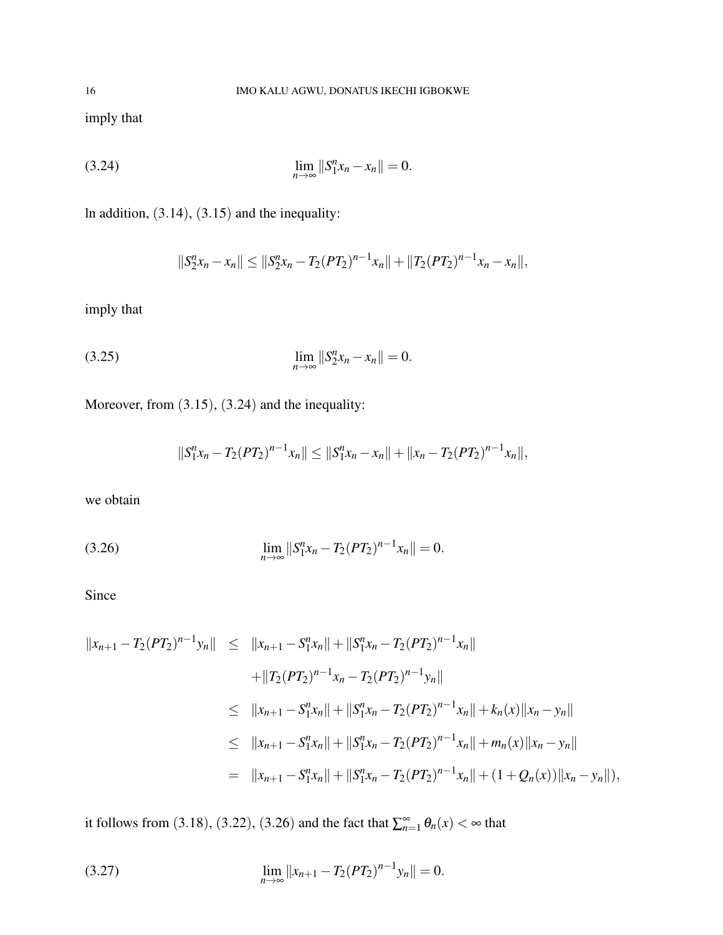imply that

(3.24) 
$$
\lim_{n \to \infty} ||S_1^n x_n - x_n|| = 0.
$$

ln addition, (3.14), (3.15) and the inequality:

$$
||S_2^n x_n - x_n|| \leq ||S_2^n x_n - T_2 (PT_2)^{n-1} x_n|| + ||T_2 (PT_2)^{n-1} x_n - x_n||,
$$

imply that

(3.25) 
$$
\lim_{n \to \infty} ||S_2^n x_n - x_n|| = 0.
$$

Moreover, from (3.15), (3.24) and the inequality:

$$
||S_1^n x_n - T_2(PT_2)^{n-1} x_n|| \le ||S_1^n x_n - x_n|| + ||x_n - T_2(PT_2)^{n-1} x_n||,
$$

we obtain

(3.26) 
$$
\lim_{n\to\infty}||S_1^n x_n - T_2(PT_2)^{n-1}x_n|| = 0.
$$

Since

$$
||x_{n+1} - T_2(PT_2)^{n-1}y_n|| \le ||x_{n+1} - S_1^n x_n|| + ||S_1^n x_n - T_2(PT_2)^{n-1}x_n||
$$
  
+ 
$$
||T_2(PT_2)^{n-1}x_n - T_2(PT_2)^{n-1}y_n||
$$
  

$$
\le ||x_{n+1} - S_1^n x_n|| + ||S_1^n x_n - T_2(PT_2)^{n-1}x_n|| + k_n(x)||x_n - y_n||
$$
  

$$
\le ||x_{n+1} - S_1^n x_n|| + ||S_1^n x_n - T_2(PT_2)^{n-1}x_n|| + m_n(x)||x_n - y_n||
$$
  
= 
$$
||x_{n+1} - S_1^n x_n|| + ||S_1^n x_n - T_2(PT_2)^{n-1}x_n|| + (1 + Q_n(x))||x_n - y_n||),
$$

it follows from (3.18), (3.22), (3.26) and the fact that  $\sum_{n=1}^{\infty} \theta_n(x) < \infty$  that

(3.27) 
$$
\lim_{n \to \infty} ||x_{n+1} - T_2(PT_2)^{n-1}y_n|| = 0.
$$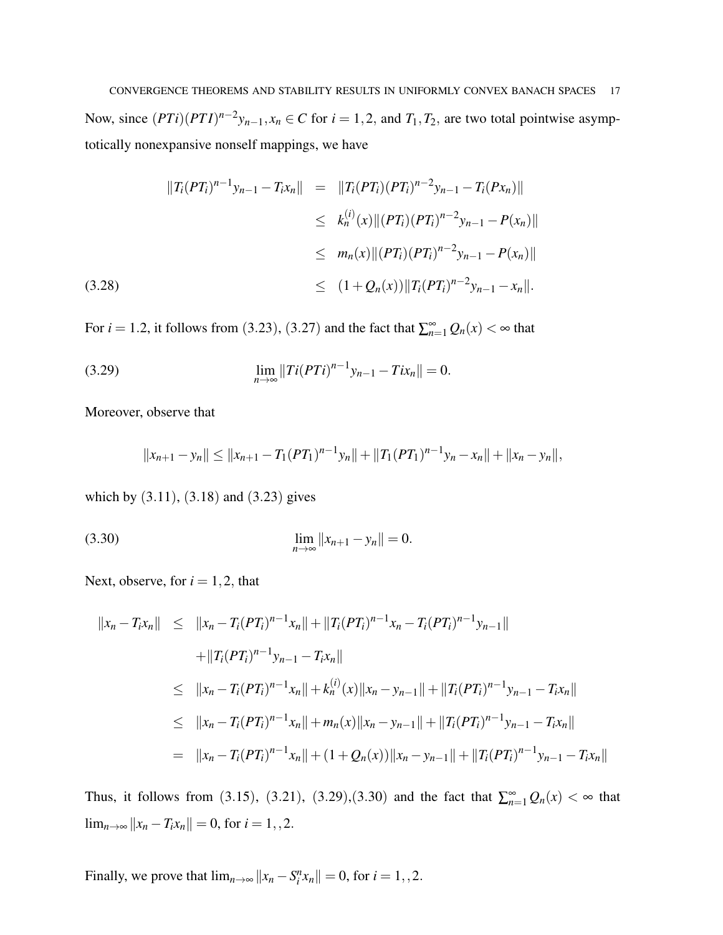CONVERGENCE THEOREMS AND STABILITY RESULTS IN UNIFORMLY CONVEX BANACH SPACES 17 Now, since  $(PTi)(PTI)^{n-2}y_{n-1}, x_n \in C$  for  $i = 1, 2$ , and  $T_1, T_2$ , are two total pointwise asymptotically nonexpansive nonself mappings, we have

$$
||T_i(PT_i)^{n-1}y_{n-1} - T_ix_n|| = ||T_i(PT_i)(PT_i)^{n-2}y_{n-1} - T_i(Px_n)||
$$
  
\n
$$
\leq k_n^{(i)}(x)||(PT_i)(PT_i)^{n-2}y_{n-1} - P(x_n)||
$$
  
\n
$$
\leq m_n(x)||(PT_i)(PT_i)^{n-2}y_{n-1} - P(x_n)||
$$
  
\n(3.28)  
\n
$$
\leq (1 + Q_n(x))||T_i(PT_i)^{n-2}y_{n-1} - x_n||.
$$

For *i* = 1.2, it follows from (3.23), (3.27) and the fact that  $\sum_{n=1}^{\infty} Q_n(x) < \infty$  that

(3.29) 
$$
\lim_{n\to\infty}||Ti(PTi)^{n-1}y_{n-1}-Tix_n||=0.
$$

Moreover, observe that

$$
||x_{n+1}-y_n|| \leq ||x_{n+1}-T_1(PT_1)^{n-1}y_n|| + ||T_1(PT_1)^{n-1}y_n-x_n|| + ||x_n-y_n||,
$$

which by (3.11), (3.18) and (3.23) gives

(3.30) 
$$
\lim_{n \to \infty} ||x_{n+1} - y_n|| = 0.
$$

Next, observe, for  $i = 1, 2$ , that

$$
||x_n - T_i x_n|| \le ||x_n - T_i(PT_i)^{n-1} x_n|| + ||T_i(PT_i)^{n-1} x_n - T_i(PT_i)^{n-1} y_{n-1}||
$$
  
+ 
$$
||T_i(PT_i)^{n-1} y_{n-1} - T_i x_n||
$$
  

$$
\le ||x_n - T_i(PT_i)^{n-1} x_n|| + k_n^{(i)}(x)||x_n - y_{n-1}|| + ||T_i(PT_i)^{n-1} y_{n-1} - T_i x_n||
$$
  

$$
\le ||x_n - T_i(PT_i)^{n-1} x_n|| + m_n(x)||x_n - y_{n-1}|| + ||T_i(PT_i)^{n-1} y_{n-1} - T_i x_n||
$$
  
= 
$$
||x_n - T_i(PT_i)^{n-1} x_n|| + (1 + Q_n(x))||x_n - y_{n-1}|| + ||T_i(PT_i)^{n-1} y_{n-1} - T_i x_n||
$$

Thus, it follows from (3.15), (3.21), (3.29),(3.30) and the fact that  $\sum_{n=1}^{\infty} Q_n(x) < \infty$  that  $\lim_{n\to\infty}$  || $x_n - T_i x_n$ || = 0, for *i* = 1,,2.

Finally, we prove that  $\lim_{n\to\infty} ||x_n - S_i^n x_n|| = 0$ , for  $i = 1, 2$ .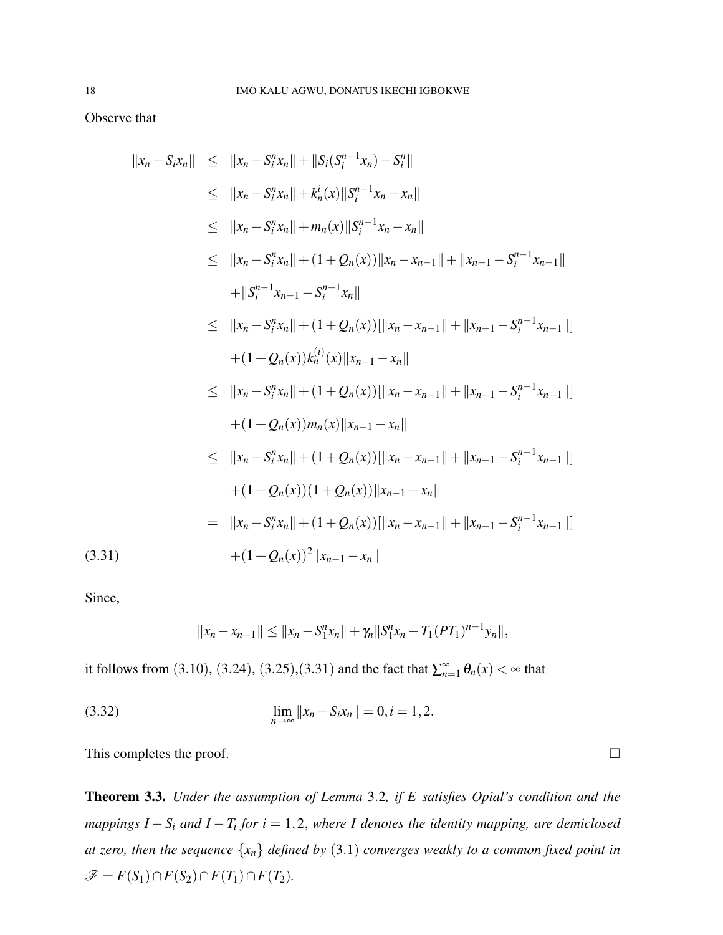Observe that

$$
||x_n - S_i x_n|| \le ||x_n - S_i^n x_n|| + ||S_i(S_i^{n-1} x_n) - S_i^n||
$$
  
\n
$$
\le ||x_n - S_i^n x_n|| + k_n^i(x)||S_i^{n-1} x_n - x_n||
$$
  
\n
$$
\le ||x_n - S_i^n x_n|| + n_n(x)||S_i^{n-1} x_n - x_n||
$$
  
\n
$$
\le ||x_n - S_i^n x_n|| + (1 + Q_n(x))||x_n - x_{n-1}|| + ||x_{n-1} - S_i^{n-1} x_{n-1}||
$$
  
\n
$$
+ ||S_i^{n-1} x_{n-1} - S_i^{n-1} x_n||
$$
  
\n
$$
\le ||x_n - S_i^n x_n|| + (1 + Q_n(x))[||x_n - x_{n-1}|| + ||x_{n-1} - S_i^{n-1} x_{n-1}||]
$$
  
\n
$$
+ (1 + Q_n(x))k_n^{(i)}(x)||x_{n-1} - x_n||
$$
  
\n
$$
\le ||x_n - S_i^n x_n|| + (1 + Q_n(x))[||x_n - x_{n-1}|| + ||x_{n-1} - S_i^{n-1} x_{n-1}||]
$$
  
\n
$$
+ (1 + Q_n(x))m_n(x)||x_{n-1} - x_n||
$$
  
\n
$$
\le ||x_n - S_i^n x_n|| + (1 + Q_n(x))[||x_n - x_{n-1}|| + ||x_{n-1} - S_i^{n-1} x_{n-1}||]
$$
  
\n
$$
+ (1 + Q_n(x))(1 + Q_n(x))[||x_n - x_{n-1}|| + ||x_{n-1} - S_i^{n-1} x_{n-1}||]
$$
  
\n
$$
+ (1 + Q_n(x))(1 + Q_n(x))[||x_n - x_{n-1}|| + ||x_{n-1} - S_i^{n-1} x_{n-1}||]
$$
  
\n(3.31)  
\n
$$
+ (1 + Q_n(x))^2 ||x_{n-1} - x_n||
$$

Since,

$$
||x_n-x_{n-1}|| \leq ||x_n-S_1^nx_n|| + \gamma_n||S_1^nx_n-T_1(PT_1)^{n-1}y_n||,
$$

it follows from (3.10), (3.24), (3.25),(3.31) and the fact that  $\sum_{n=1}^{\infty} \theta_n(x) < \infty$  that

(3.32) 
$$
\lim_{n \to \infty} ||x_n - S_i x_n|| = 0, i = 1, 2.
$$

This completes the proof.  $\Box$ 

Theorem 3.3. *Under the assumption of Lemma* 3.2*, if E satisfies Opial's condition and the mappings I* − *S<sup>i</sup> and I* − *T<sup>i</sup> for i* = 1,2, *where I denotes the identity mapping, are demiclosed at zero, then the sequence* {*xn*} *defined by* (3.1) *converges weakly to a common fixed point in*  $\mathscr{F} = F(S_1) \cap F(S_2) \cap F(T_1) \cap F(T_2)$ .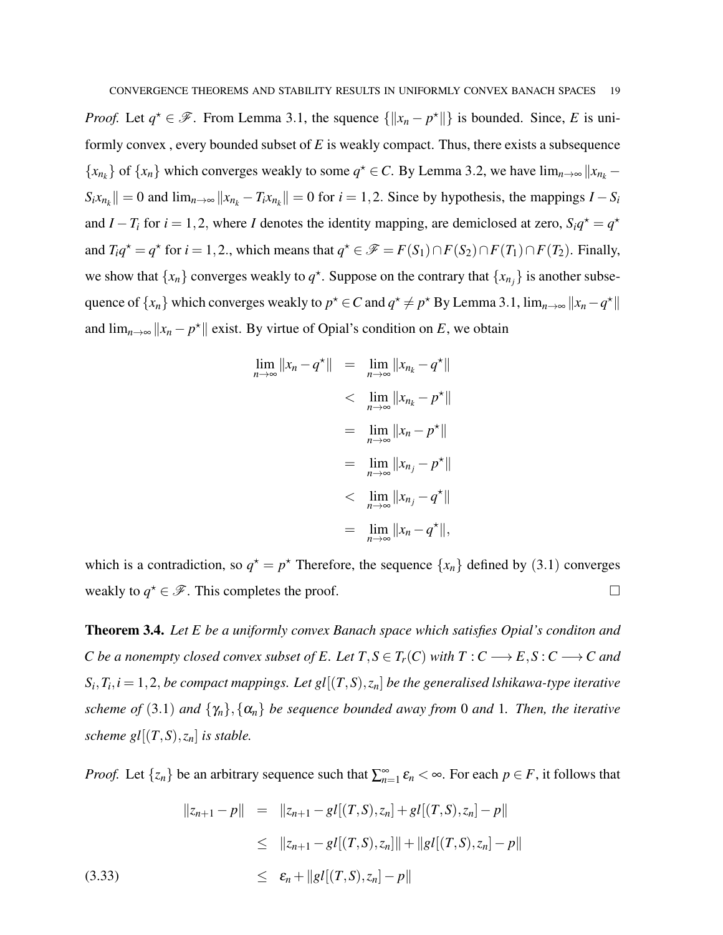*Proof.* Let  $q^* \in \mathcal{F}$ . From Lemma 3.1, the squence  $\{||x_n - p^*||\}$  is bounded. Since, *E* is uniformly convex , every bounded subset of *E* is weakly compact. Thus, there exists a subsequence  ${x_{n_k}}$  of  ${x_n}$  which converges weakly to some  $q^* \in C$ . By Lemma 3.2, we have  $\lim_{n\to\infty} ||x_{n_k} S_i x_{n_k}$  || = 0 and  $\lim_{n \to \infty} ||x_{n_k} - T_i x_{n_k}|| = 0$  for  $i = 1, 2$ . Since by hypothesis, the mappings *I* − *S<sub>i</sub>* and *I* − *T*<sub>*i*</sub> for *i* = 1,2, where *I* denotes the identity mapping, are demiclosed at zero,  $S_i q^* = q^*$ and  $T_i q^* = q^*$  for  $i = 1, 2$ ., which means that  $q^* \in \mathcal{F} = F(S_1) \cap F(S_2) \cap F(T_1) \cap F(T_2)$ . Finally, we show that  $\{x_n\}$  converges weakly to  $q^*$ . Suppose on the contrary that  $\{x_{n_j}\}$  is another subsequence of  $\{x_n\}$  which converges weakly to  $p^* \in C$  and  $q^* \neq p^*$  By Lemma 3.1,  $\lim_{n\to\infty} ||x_n - q^*||$ and  $\lim_{n\to\infty}$   $||x_n - p^*||$  exist. By virtue of Opial's condition on *E*, we obtain

$$
\lim_{n \to \infty} ||x_n - q^*|| = \lim_{n \to \infty} ||x_{n_k} - q^*||
$$
  
\n
$$
< \lim_{n \to \infty} ||x_{n_k} - p^*||
$$
  
\n
$$
= \lim_{n \to \infty} ||x_n - p^*||
$$
  
\n
$$
= \lim_{n \to \infty} ||x_{n_j} - p^*||
$$
  
\n
$$
< \lim_{n \to \infty} ||x_{n_j} - q^*||
$$
  
\n
$$
= \lim_{n \to \infty} ||x_n - q^*||,
$$

which is a contradiction, so  $q^* = p^*$  Therefore, the sequence  $\{x_n\}$  defined by (3.1) converges weakly to  $q^* \in \mathscr{F}$ . This completes the proof.

Theorem 3.4. *Let E be a uniformly convex Banach space which satisfies Opial's conditon and C* be a nonempty closed convex subset of E. Let  $T, S \in T_r(C)$  with  $T: C \longrightarrow E, S: C \longrightarrow C$  and  $S_i, T_i, i = 1,2,$  *be compact mappings. Let gl*  $[(T, S), z_n]$  *be the generalised lshikawa-type iterative scheme of* (3.1) *and*  $\{\gamma_n\}, \{\alpha_n\}$  *be sequence bounded away from* 0 *and* 1*. Then, the iterative scheme gl* $[(T, S), z_n]$  *is stable.* 

*Proof.* Let  $\{z_n\}$  be an arbitrary sequence such that  $\sum_{n=1}^{\infty} \varepsilon_n < \infty$ . For each  $p \in F$ , it follows that

$$
||z_{n+1} - p|| = ||z_{n+1} - gl[(T, S), z_n] + gl[(T, S), z_n] - p||
$$
  
\n
$$
\leq ||z_{n+1} - gl[(T, S), z_n]|| + ||gl[(T, S), z_n] - p||
$$
  
\n(3.33)  
\n
$$
\leq \epsilon_n + ||gl[(T, S), z_n] - p||
$$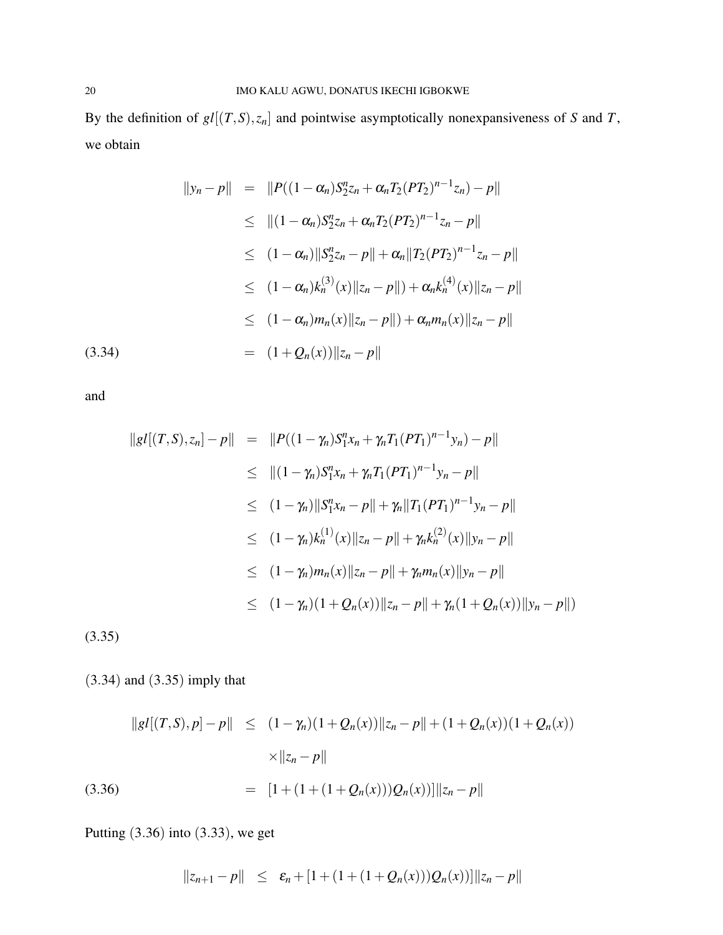By the definition of  $gl[(T, S), z_n]$  and pointwise asymptotically nonexpansiveness of *S* and *T*, we obtain

$$
||y_n - p|| = ||P((1 - \alpha_n)S_2^n z_n + \alpha_n T_2 (PT_2)^{n-1} z_n) - p||
$$
  
\n
$$
\leq ||(1 - \alpha_n)S_2^n z_n + \alpha_n T_2 (PT_2)^{n-1} z_n - p||
$$
  
\n
$$
\leq (1 - \alpha_n) ||S_2^n z_n - p|| + \alpha_n ||T_2 (PT_2)^{n-1} z_n - p||
$$
  
\n
$$
\leq (1 - \alpha_n) k_n^{(3)}(x) ||z_n - p|| + \alpha_n k_n^{(4)}(x) ||z_n - p||
$$
  
\n
$$
\leq (1 - \alpha_n) m_n(x) ||z_n - p|| + \alpha_n m_n(x) ||z_n - p||
$$
  
\n
$$
= (1 + Q_n(x)) ||z_n - p||
$$

and

 $(3.34)$ 

$$
||gl[(T, S), z_n] - p|| = ||P((1 - \gamma_n)S_1^n x_n + \gamma_n T_1 (PT_1)^{n-1} y_n) - p||
$$
  
\n
$$
\leq ||(1 - \gamma_n)S_1^n x_n + \gamma_n T_1 (PT_1)^{n-1} y_n - p||
$$
  
\n
$$
\leq (1 - \gamma_n) ||S_1^n x_n - p|| + \gamma_n ||T_1 (PT_1)^{n-1} y_n - p||
$$
  
\n
$$
\leq (1 - \gamma_n) k_n^{(1)}(x) ||z_n - p|| + \gamma_n k_n^{(2)}(x) ||y_n - p||
$$
  
\n
$$
\leq (1 - \gamma_n) m_n(x) ||z_n - p|| + \gamma_n m_n(x) ||y_n - p||
$$
  
\n
$$
\leq (1 - \gamma_n) (1 + Q_n(x)) ||z_n - p|| + \gamma_n (1 + Q_n(x)) ||y_n - p||)
$$

(3.35)

(3.34) and (3.35) imply that

$$
||gl[(T,S),p] - p|| \le (1 - \gamma_n)(1 + Q_n(x)) ||z_n - p|| + (1 + Q_n(x))(1 + Q_n(x))
$$
  
 
$$
\times ||z_n - p||
$$
  
(3.36)  

$$
= [1 + (1 + (1 + Q_n(x)))Q_n(x))] ||z_n - p||
$$

Putting (3.36) into (3.33), we get

$$
||z_{n+1}-p|| \leq \varepsilon_n + [1+(1+(1+Q_n(x)))Q_n(x))]||z_n-p||
$$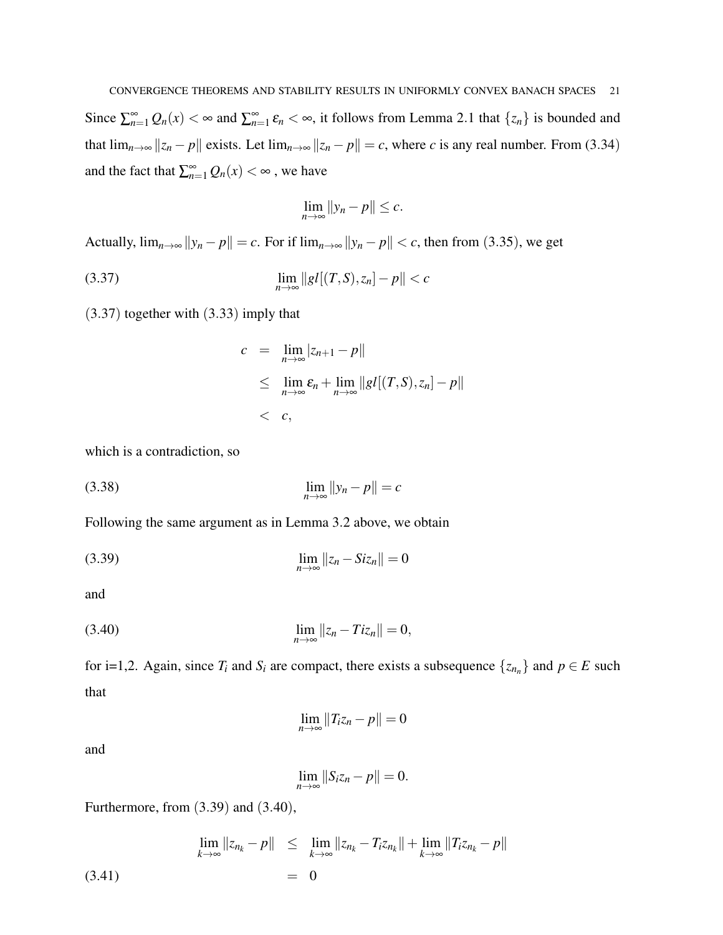Since  $\sum_{n=1}^{\infty} Q_n(x) < \infty$  and  $\sum_{n=1}^{\infty} \varepsilon_n < \infty$ , it follows from Lemma 2.1 that  $\{z_n\}$  is bounded and that  $\lim_{n\to\infty} ||z_n - p||$  exists. Let  $\lim_{n\to\infty} ||z_n - p|| = c$ , where *c* is any real number. From (3.34) and the fact that  $\sum_{n=1}^{\infty} Q_n(x) < \infty$ , we have

$$
\lim_{n\to\infty}||y_n-p||\leq c.
$$

Actually,  $\lim_{n\to\infty} ||y_n - p|| = c$ . For if  $\lim_{n\to\infty} ||y_n - p|| < c$ , then from (3.35), we get

(3.37) 
$$
\lim_{n \to \infty} \|gl[(T, S), z_n] - p\| < c
$$

(3.37) together with (3.33) imply that

$$
c = \lim_{n \to \infty} |z_{n+1} - p||
$$
  
\n
$$
\leq \lim_{n \to \infty} \varepsilon_n + \lim_{n \to \infty} ||gl[(T, S), z_n] - p||
$$
  
\n
$$
< c,
$$

which is a contradiction, so

$$
\lim_{n \to \infty} ||y_n - p|| = c
$$

Following the same argument as in Lemma 3.2 above, we obtain

$$
\lim_{n \to \infty} ||z_n - Siz_n|| = 0
$$

and

(3.40) 
$$
\lim_{n \to \infty} ||z_n - Tiz_n|| = 0,
$$

for i=1,2. Again, since  $T_i$  and  $S_i$  are compact, there exists a subsequence  $\{z_{n_n}\}\$  and  $p \in E$  such that

$$
\lim_{n\to\infty}||T_iz_n-p||=0
$$

and

$$
\lim_{n\to\infty}||S_iz_n-p||=0.
$$

Furthermore, from (3.39) and (3.40),

(3.41) 
$$
\lim_{k \to \infty} ||z_{n_k} - p|| \leq \lim_{k \to \infty} ||z_{n_k} - T_i z_{n_k}|| + \lim_{k \to \infty} ||T_i z_{n_k} - p||
$$

$$
= 0
$$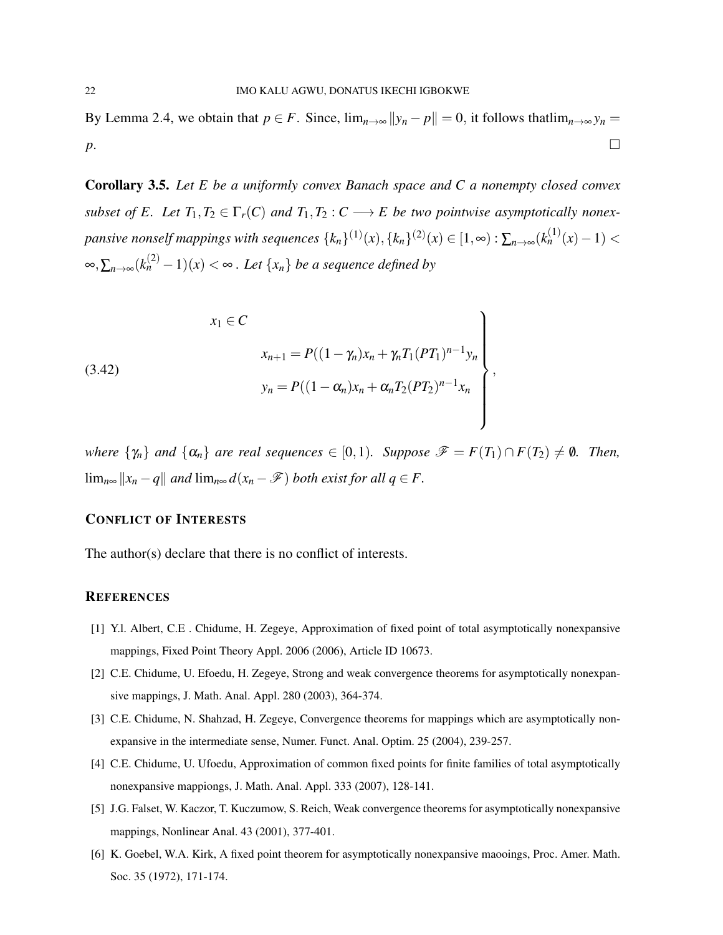By Lemma 2.4, we obtain that  $p \in F$ . Since,  $\lim_{n \to \infty} ||y_n - p|| = 0$ , it follows that  $\lim_{n \to \infty} y_n =$ *p*. □

Corollary 3.5. *Let E be a uniformly convex Banach space and C a nonempty closed convex subset of E. Let*  $T_1, T_2 \in \Gamma_r(C)$  *and*  $T_1, T_2 : C \longrightarrow E$  *be two pointwise asymptotically nonex* $p$ ansive nonself mappings with sequences  $\{k_n\}^{(1)}(x),$   $\{k_n\}^{(2)}(x) \in [1,\infty)$  :  $\sum_{n\to\infty} (k_n^{(1)}(x)-1) < 0$ ∞, $\sum_{n\to\infty} (k_n^{(2)} - 1)(x) < \infty$ . Let  $\{x_n\}$  be a sequence defined by

(3.42)  

$$
x_{n+1} = P((1 - \gamma_n)x_n + \gamma_n T_1 (PT_1)^{n-1} y_n)
$$

$$
y_n = P((1 - \alpha_n)x_n + \alpha_n T_2 (PT_2)^{n-1} x_n)
$$

*where*  $\{\gamma_n\}$  *and*  $\{\alpha_n\}$  *are real sequences*  $\in [0,1)$ *. Suppose*  $\mathscr{F} = F(T_1) \cap F(T_2) \neq \emptyset$ *. Then,* lim<sub>n∞</sub>  $||x_n - q||$  *and* lim<sub>n∞</sub>  $d(x_n - F)$  *both exist for all*  $q \in F$ .

## CONFLICT OF INTERESTS

The author(s) declare that there is no conflict of interests.

### **REFERENCES**

- [1] Y.l. Albert, C.E . Chidume, H. Zegeye, Approximation of fixed point of total asymptotically nonexpansive mappings, Fixed Point Theory Appl. 2006 (2006), Article ID 10673.
- [2] C.E. Chidume, U. Efoedu, H. Zegeye, Strong and weak convergence theorems for asymptotically nonexpansive mappings, J. Math. Anal. Appl. 280 (2003), 364-374.
- [3] C.E. Chidume, N. Shahzad, H. Zegeye, Convergence theorems for mappings which are asymptotically nonexpansive in the intermediate sense, Numer. Funct. Anal. Optim. 25 (2004), 239-257.
- [4] C.E. Chidume, U. Ufoedu, Approximation of common fixed points for finite families of total asymptotically nonexpansive mappiongs, J. Math. Anal. Appl. 333 (2007), 128-141.
- [5] J.G. Falset, W. Kaczor, T. Kuczumow, S. Reich, Weak convergence theorems for asymptotically nonexpansive mappings, Nonlinear Anal. 43 (2001), 377-401.
- [6] K. Goebel, W.A. Kirk, A fixed point theorem for asymptotically nonexpansive maooings, Proc. Amer. Math. Soc. 35 (1972), 171-174.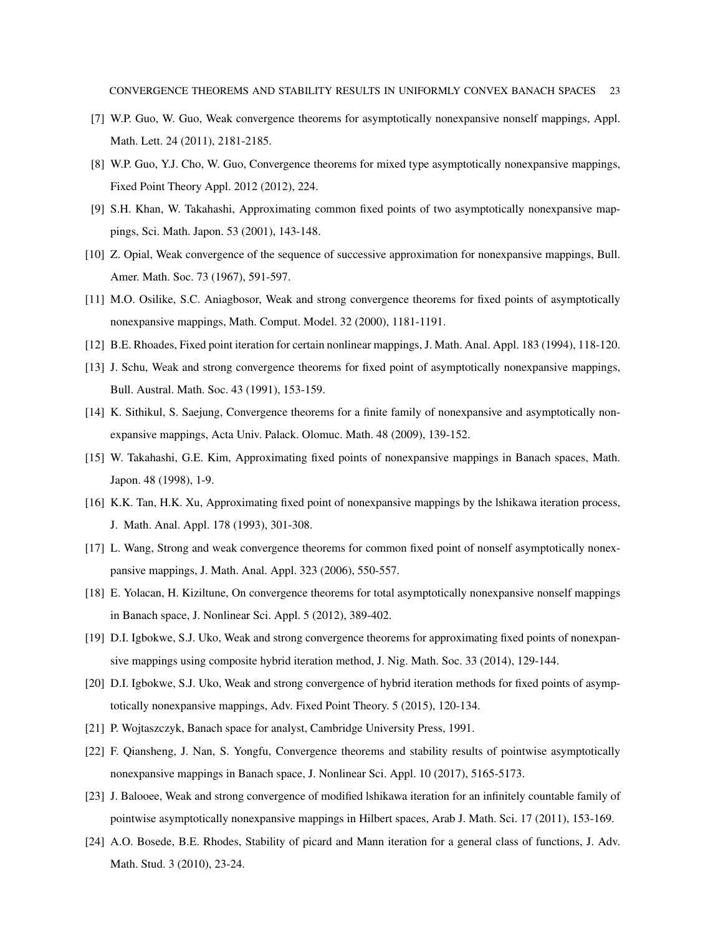- [7] W.P. Guo, W. Guo, Weak convergence theorems for asymptotically nonexpansive nonself mappings, Appl. Math. Lett. 24 (2011), 2181-2185.
- [8] W.P. Guo, Y.J. Cho, W. Guo, Convergence theorems for mixed type asymptotically nonexpansive mappings, Fixed Point Theory Appl. 2012 (2012), 224.
- [9] S.H. Khan, W. Takahashi, Approximating common fixed points of two asymptotically nonexpansive mappings, Sci. Math. Japon. 53 (2001), 143-148.
- [10] Z. Opial, Weak convergence of the sequence of successive approximation for nonexpansive mappings, Bull. Amer. Math. Soc. 73 (1967), 591-597.
- [11] M.O. Osilike, S.C. Aniagbosor, Weak and strong convergence theorems for fixed points of asymptotically nonexpansive mappings, Math. Comput. Model. 32 (2000), 1181-1191.
- [12] B.E. Rhoades, Fixed point iteration for certain nonlinear mappings, J. Math. Anal. Appl. 183 (1994), 118-120.
- [13] J. Schu, Weak and strong convergence theorems for fixed point of asymptotically nonexpansive mappings, Bull. Austral. Math. Soc. 43 (1991), 153-159.
- [14] K. Sithikul, S. Saejung, Convergence theorems for a finite family of nonexpansive and asymptotically nonexpansive mappings, Acta Univ. Palack. Olomuc. Math. 48 (2009), 139-152.
- [15] W. Takahashi, G.E. Kim, Approximating fixed points of nonexpansive mappings in Banach spaces, Math. Japon. 48 (1998), 1-9.
- [16] K.K. Tan, H.K. Xu, Approximating fixed point of nonexpansive mappings by the lshikawa iteration process, J. Math. Anal. Appl. 178 (1993), 301-308.
- [17] L. Wang, Strong and weak convergence theorems for common fixed point of nonself asymptotically nonexpansive mappings, J. Math. Anal. Appl. 323 (2006), 550-557.
- [18] E. Yolacan, H. Kiziltune, On convergence theorems for total asymptotically nonexpansive nonself mappings in Banach space, J. Nonlinear Sci. Appl. 5 (2012), 389-402.
- [19] D.I. Igbokwe, S.J. Uko, Weak and strong convergence theorems for approximating fixed points of nonexpansive mappings using composite hybrid iteration method, J. Nig. Math. Soc. 33 (2014), 129-144.
- [20] D.I. Igbokwe, S.J. Uko, Weak and strong convergence of hybrid iteration methods for fixed points of asymptotically nonexpansive mappings, Adv. Fixed Point Theory. 5 (2015), 120-134.
- [21] P. Wojtaszczyk, Banach space for analyst, Cambridge University Press, 1991.
- [22] F. Qiansheng, J. Nan, S. Yongfu, Convergence theorems and stability results of pointwise asymptotically nonexpansive mappings in Banach space, J. Nonlinear Sci. Appl. 10 (2017), 5165-5173.
- [23] J. Balooee, Weak and strong convergence of modified lshikawa iteration for an infinitely countable family of pointwise asymptotically nonexpansive mappings in Hilbert spaces, Arab J. Math. Sci. 17 (2011), 153-169.
- [24] A.O. Bosede, B.E. Rhodes, Stability of picard and Mann iteration for a general class of functions, J. Adv. Math. Stud. 3 (2010), 23-24.